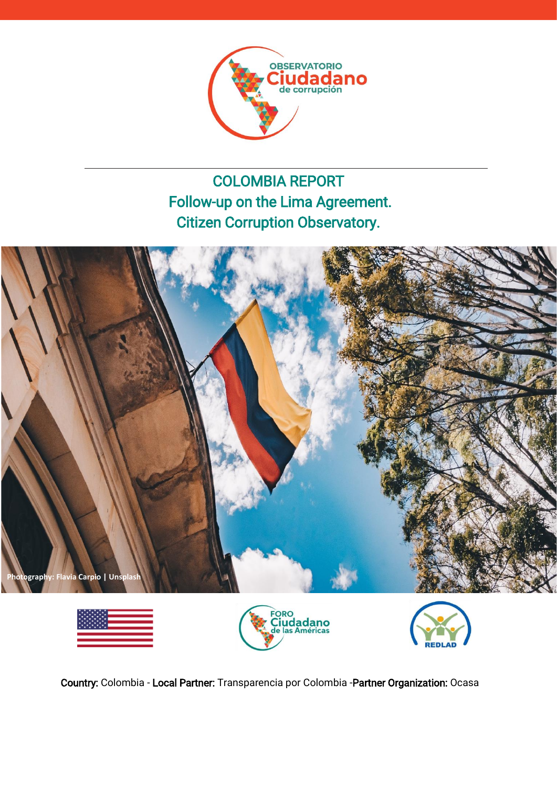

# COLOMBIA REPORT Follow-up on the Lima Agreement. Citizen Corruption Observatory.









Country: Colombia - Local Partner: Transparencia por Colombia -Partner Organization: Ocasa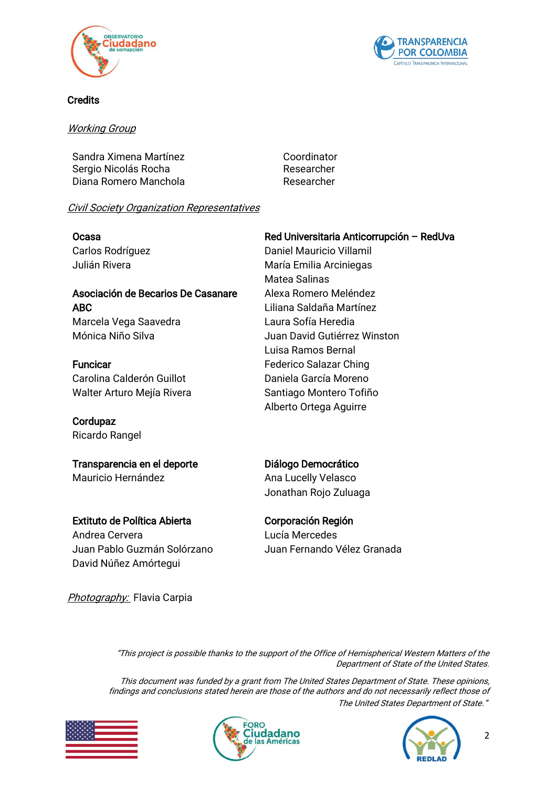



#### **Credits**

#### Working Group

Sandra Ximena Martínez **Coordinator** Coordinator Sergio Nicolás Rocha **Researcher** Researcher Diana Romero Manchola **Researcher** 

### Civil Society Organization Representatives

Ocasa Carlos Rodríguez Julián Rivera

# Asociación de Becarios De Casanare ABC

Marcela Vega Saavedra Mónica Niño Silva

**Funcicar** Carolina Calderón Guillot Walter Arturo Mejía Rivera

Cordupaz Ricardo Rangel

Transparencia en el deporte Mauricio Hernández

Extituto de Política Abierta Andrea Cervera Juan Pablo Guzmán Solórzano David Núñez Amórtegui

Photography: Flavia Carpia

### Red Universitaria Anticorrupción – RedUva

Daniel Mauricio Villamil María Emilia Arciniegas Matea Salinas Alexa Romero Meléndez Liliana Saldaña Martínez Laura Sofía Heredia Juan David Gutiérrez Winston Luisa Ramos Bernal Federico Salazar Ching Daniela García Moreno Santiago Montero Tofiño Alberto Ortega Aguirre

## Diálogo Democrático

Ana Lucelly Velasco Jonathan Rojo Zuluaga

## Corporación Región

Lucía Mercedes Juan Fernando Vélez Granada

"This project is possible thanks to the support of the Office of Hemispherical Western Matters of the Department of State of the United States.

This document was funded by a grant from The United States Department of State. These opinions, findings and conclusions stated herein are those of the authors and do not necessarily reflect those of The United States Department of State."





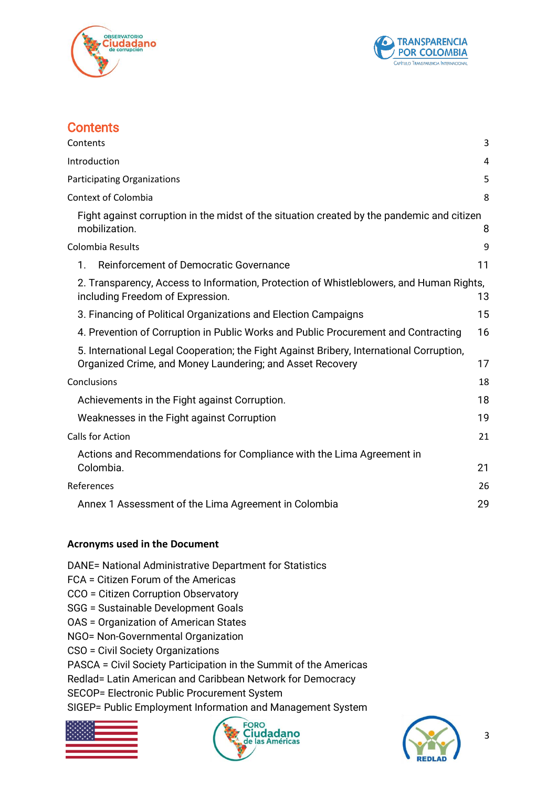



# <span id="page-2-0"></span>**Contents**

| Contents                                                                                                                                              | 3  |
|-------------------------------------------------------------------------------------------------------------------------------------------------------|----|
| Introduction                                                                                                                                          | 4  |
| <b>Participating Organizations</b>                                                                                                                    | 5  |
| <b>Context of Colombia</b>                                                                                                                            | 8  |
| Fight against corruption in the midst of the situation created by the pandemic and citizen<br>mobilization.                                           | 8  |
| Colombia Results                                                                                                                                      | 9  |
| Reinforcement of Democratic Governance<br>$\mathbf{1}$ .                                                                                              | 11 |
| 2. Transparency, Access to Information, Protection of Whistleblowers, and Human Rights,<br>including Freedom of Expression.                           | 13 |
| 3. Financing of Political Organizations and Election Campaigns                                                                                        | 15 |
| 4. Prevention of Corruption in Public Works and Public Procurement and Contracting                                                                    | 16 |
| 5. International Legal Cooperation; the Fight Against Bribery, International Corruption,<br>Organized Crime, and Money Laundering; and Asset Recovery | 17 |
| Conclusions                                                                                                                                           | 18 |
| Achievements in the Fight against Corruption.                                                                                                         | 18 |
| Weaknesses in the Fight against Corruption                                                                                                            | 19 |
| Calls for Action                                                                                                                                      | 21 |
| Actions and Recommendations for Compliance with the Lima Agreement in<br>Colombia.                                                                    | 21 |
| References                                                                                                                                            | 26 |
| Annex 1 Assessment of the Lima Agreement in Colombia                                                                                                  | 29 |

### **Acronyms used in the Document**

- DANE= National Administrative Department for Statistics
- FCA = Citizen Forum of the Americas
- CCO = Citizen Corruption Observatory
- SGG = Sustainable Development Goals
- OAS = Organization of American States
- NGO= Non-Governmental Organization
- CSO = Civil Society Organizations
- PASCA = Civil Society Participation in the Summit of the Americas
- Redlad= Latin American and Caribbean Network for Democracy
- SECOP= Electronic Public Procurement System

SIGEP= Public Employment Information and Management System





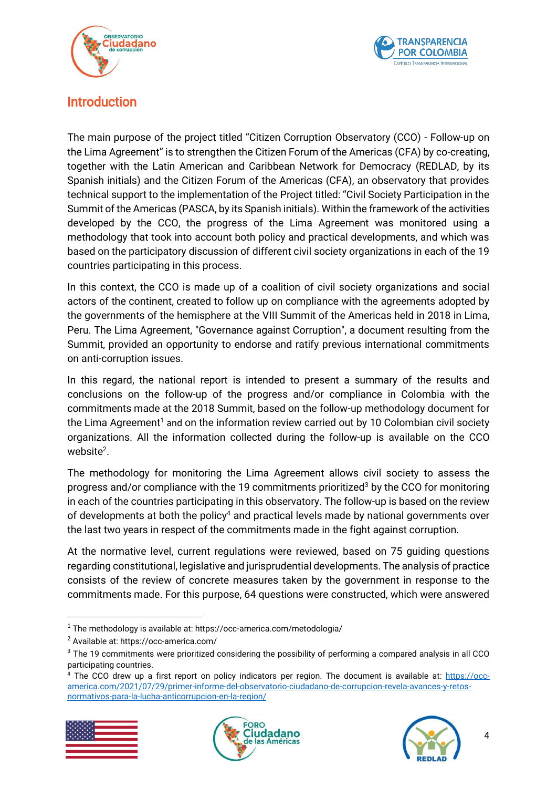



# <span id="page-3-0"></span>Introduction

The main purpose of the project titled "Citizen Corruption Observatory (CCO) - Follow-up on the Lima Agreement" is to strengthen the Citizen Forum of the Americas (CFA) by co-creating, together with the Latin American and Caribbean Network for Democracy (REDLAD, by its Spanish initials) and the Citizen Forum of the Americas (CFA), an observatory that provides technical support to the implementation of the Project titled: "Civil Society Participation in the Summit of the Americas (PASCA, by its Spanish initials). Within the framework of the activities developed by the CCO, the progress of the Lima Agreement was monitored using a methodology that took into account both policy and practical developments, and which was based on the participatory discussion of different civil society organizations in each of the 19 countries participating in this process.

In this context, the CCO is made up of a coalition of civil society organizations and social actors of the continent, created to follow up on compliance with the agreements adopted by the governments of the hemisphere at the VIII Summit of the Americas held in 2018 in Lima, Peru. The Lima Agreement, "Governance against Corruption", a document resulting from the Summit, provided an opportunity to endorse and ratify previous international commitments on anti-corruption issues.

In this regard, the national report is intended to present a summary of the results and conclusions on the follow-up of the progress and/or compliance in Colombia with the commitments made at the 2018 Summit, based on the follow-up methodology document for the Lima Agreement<sup>1</sup> and on the information review carried out by 10 Colombian civil society organizations. All the information collected during the follow-up is available on the CCO website<sup>2</sup>.

The methodology for monitoring the Lima Agreement allows civil society to assess the progress and/or compliance with the 19 commitments prioritized<sup>3</sup> by the CCO for monitoring in each of the countries participating in this observatory. The follow-up is based on the review of developments at both the policy<sup>4</sup> and practical levels made by national governments over the last two years in respect of the commitments made in the fight against corruption.

At the normative level, current regulations were reviewed, based on 75 guiding questions regarding constitutional, legislative and jurisprudential developments. The analysis of practice consists of the review of concrete measures taken by the government in response to the commitments made. For this purpose, 64 questions were constructed, which were answered

<sup>&</sup>lt;sup>4</sup> The CCO drew up a first report on policy indicators per region. The document is available at: [https://occ](https://occ-america.com/2021/07/29/primer-informe-del-observatorio-ciudadano-de-corrupcion-revela-avances-y-retos-normativos-para-la-lucha-anticorrupcion-en-la-region/)[america.com/2021/07/29/primer-informe-del-observatorio-ciudadano-de-corrupcion-revela-avances-y-retos](https://occ-america.com/2021/07/29/primer-informe-del-observatorio-ciudadano-de-corrupcion-revela-avances-y-retos-normativos-para-la-lucha-anticorrupcion-en-la-region/)[normativos-para-la-lucha-anticorrupcion-en-la-region/](https://occ-america.com/2021/07/29/primer-informe-del-observatorio-ciudadano-de-corrupcion-revela-avances-y-retos-normativos-para-la-lucha-anticorrupcion-en-la-region/)







 $1$  The methodology is available at: https://occ-america.com/metodologia/

<sup>2</sup> Available at: https://occ-america.com/

<sup>&</sup>lt;sup>3</sup> The 19 commitments were prioritized considering the possibility of performing a compared analysis in all CCO participating countries.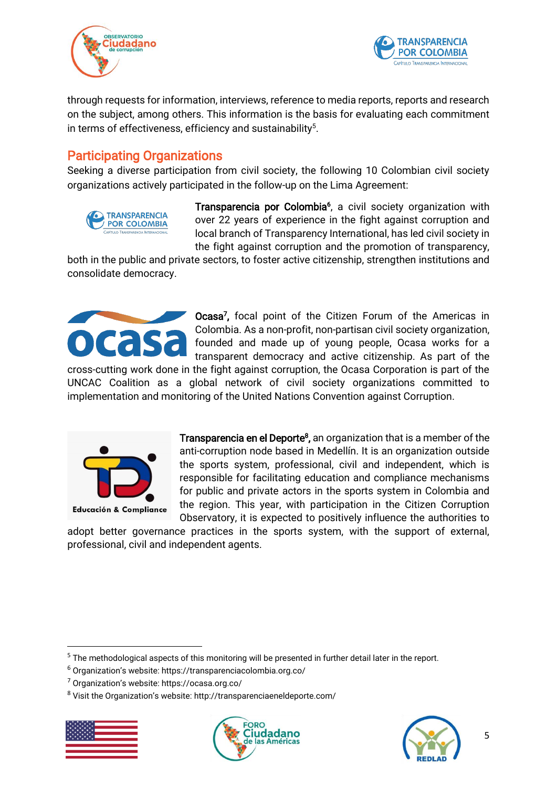



through requests for information, interviews, reference to media reports, reports and research on the subject, among others. This information is the basis for evaluating each commitment in terms of effectiveness, efficiency and sustainability $5$ .

# <span id="page-4-0"></span>Participating Organizations

Seeking a diverse participation from civil society, the following 10 Colombian civil society organizations actively participated in the follow-up on the Lima Agreement:



Transparencia por Colombia<sup>6</sup>, a civil society organization with over 22 years of experience in the fight against corruption and local branch of Transparency International, has led civil society in the fight against corruption and the promotion of transparency,

both in the public and private sectors, to foster active citizenship, strengthen institutions and consolidate democracy.



Ocasa<sup>7</sup>, focal point of the Citizen Forum of the Americas in Colombia. As a non-profit, non-partisan civil society organization, founded and made up of young people, Ocasa works for a transparent democracy and active citizenship. As part of the

cross-cutting work done in the fight against corruption, the Ocasa Corporation is part of the UNCAC Coalition as a global network of civil society organizations committed to implementation and monitoring of the United Nations Convention against Corruption.



Transparencia en el Deporte<sup>8</sup>, an organization that is a member of the anti-corruption node based in Medellín. It is an organization outside the sports system, professional, civil and independent, which is responsible for facilitating education and compliance mechanisms for public and private actors in the sports system in Colombia and the region. This year, with participation in the Citizen Corruption Observatory, it is expected to positively influence the authorities to

adopt better governance practices in the sports system, with the support of external, professional, civil and independent agents.

<sup>5</sup> The methodological aspects of this monitoring will be presented in further detail later in the report.

<sup>8</sup> Visit the Organization's website: http://transparenciaeneldeporte.com/







<sup>6</sup> Organization's website: https://transparenciacolombia.org.co/

<sup>7</sup> Organization's website: https://ocasa.org.co/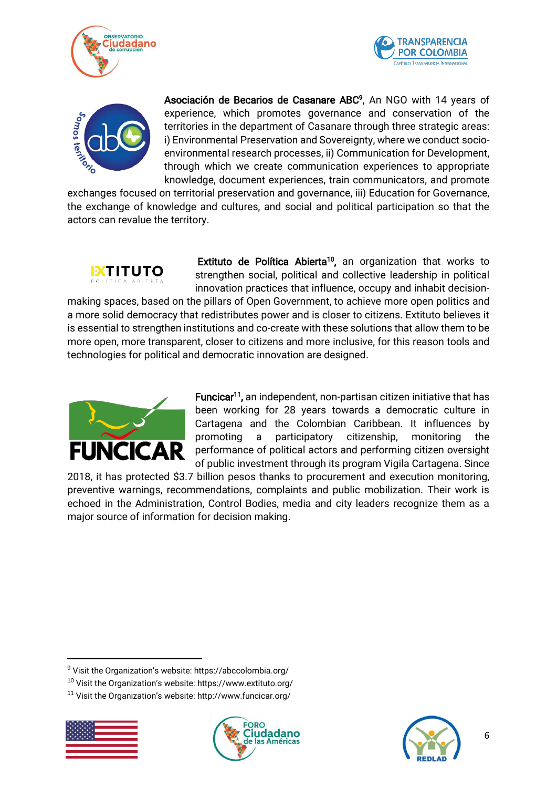





Asociación de Becarios de Casanare ABC<sup>9</sup>, An NGO with 14 years of experience, which promotes governance and conservation of the territories in the department of Casanare through three strategic areas: i) Environmental Preservation and Sovereignty, where we conduct socioenvironmental research processes, ii) Communication for Development, through which we create communication experiences to appropriate knowledge, document experiences, train communicators, and promote

exchanges focused on territorial preservation and governance, iii) Education for Governance, the exchange of knowledge and cultures, and social and political participation so that the actors can revalue the territory.



Extituto de Política Abierta<sup>10</sup>, an organization that works to strengthen social, political and collective leadership in political innovation practices that influence, occupy and inhabit decision-

making spaces, based on the pillars of Open Government, to achieve more open politics and a more solid democracy that redistributes power and is closer to citizens. Extituto believes it is essential to strengthen institutions and co-create with these solutions that allow them to be more open, more transparent, closer to citizens and more inclusive, for this reason tools and technologies for political and democratic innovation are designed.



Funcicar<sup>11</sup>, an independent, non-partisan citizen initiative that has been working for 28 years towards a democratic culture in Cartagena and the Colombian Caribbean. It influences by promoting a participatory citizenship, monitoring the performance of political actors and performing citizen oversight of public investment through its program Vigila Cartagena. Since

2018, it has protected \$3.7 billion pesos thanks to procurement and execution monitoring, preventive warnings, recommendations, complaints and public mobilization. Their work is echoed in the Administration, Control Bodies, media and city leaders recognize them as a major source of information for decision making.

<sup>11</sup> Visit the Organization's website: http://www.funcicar.org/







<sup>9</sup> Visit the Organization's website: https://abccolombia.org/

<sup>10</sup> Visit the Organization's website: https://www.extituto.org/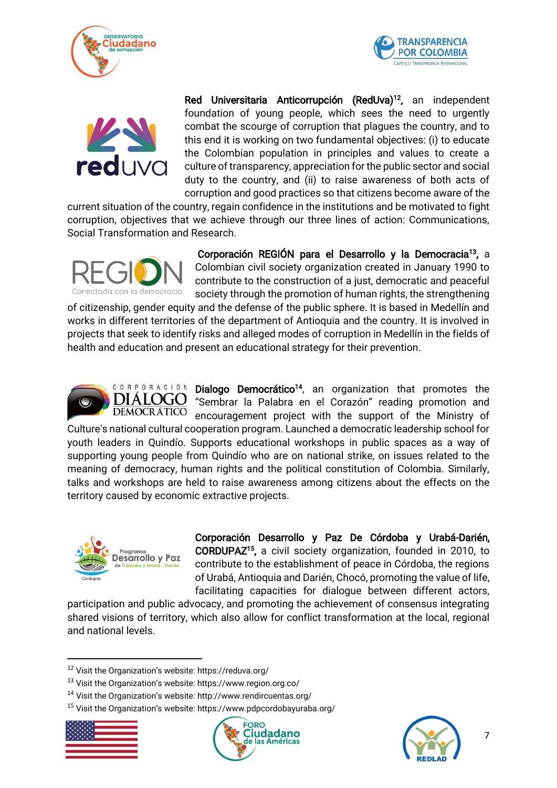





Red Universitaria Anticorrupción (RedUva)<sup>12</sup>, an independent foundation of young people, which sees the need to urgently combat the scourge of corruption that plagues the country, and to this end it is working on two fundamental objectives: (i) to educate the Colombian population in principles and values to create a culture of transparency, appreciation for the public sector and social duty to the country, and (ii) to raise awareness of both acts of corruption and good practices so that citizens become aware of the

current situation of the country, regain confidence in the institutions and be motivated to fight corruption, objectives that we achieve through our three lines of action: Communications, Social Transformation and Research.



Corporación REGIÓN para el Desarrollo y la Democracia<sup>13</sup>, a Colombian civil society organization created in January 1990 to contribute to the construction of a just, democratic and peaceful society through the promotion of human rights, the strengthening

of citizenship, gender equity and the defense of the public sphere. It is based in Medellín and works in different territories of the department of Antioquia and the country. It is involved in projects that seek to identify risks and alleged modes of corruption in Medellín in the fields of health and education and present an educational strategy for their prevention.



Dialogo Democrático<sup>14</sup>, an organization that promotes the "Sembrar la Palabra en el Corazón" reading promotion and encouragement project with the support of the Ministry of

Culture's national cultural cooperation program. Launched a democratic leadership school for youth leaders in Quindío. Supports educational workshops in public spaces as a way of supporting young people from Quindío who are on national strike, on issues related to the meaning of democracy, human rights and the political constitution of Colombia. Similarly, talks and workshops are held to raise awareness among citizens about the effects on the territory caused by economic extractive projects.



Corporación Desarrollo y Paz De Córdoba y Urabá-Darién, CORDUPAZ<sup>15</sup> , a civil society organization, founded in 2010, to contribute to the establishment of peace in Córdoba, the regions of Urabá, Antioquia and Darién, Chocó, promoting the value of life, facilitating capacities for dialogue between different actors,

participation and public advocacy, and promoting the achievement of consensus integrating shared visions of territory, which also allow for conflict transformation at the local, regional and national levels.

<sup>15</sup> Visit the Organization's website: https://www.pdpcordobayuraba.org/







<sup>12</sup> Visit the Organization's website: https://reduva.org/

<sup>13</sup> Visit the Organization's website: https://www.region.org.co/

<sup>14</sup> Visit the Organization's website: http://www.rendircuentas.org/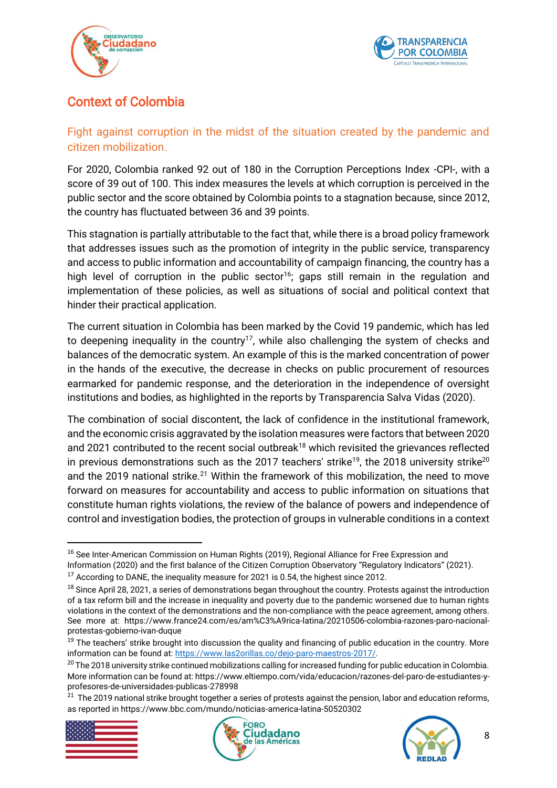



# <span id="page-7-0"></span>Context of Colombia

# <span id="page-7-1"></span>Fight against corruption in the midst of the situation created by the pandemic and citizen mobilization.

For 2020, Colombia ranked 92 out of 180 in the Corruption Perceptions Index -CPI-, with a score of 39 out of 100. This index measures the levels at which corruption is perceived in the public sector and the score obtained by Colombia points to a stagnation because, since 2012, the country has fluctuated between 36 and 39 points.

This stagnation is partially attributable to the fact that, while there is a broad policy framework that addresses issues such as the promotion of integrity in the public service, transparency and access to public information and accountability of campaign financing, the country has a high level of corruption in the public sector<sup>16</sup>; gaps still remain in the regulation and implementation of these policies, as well as situations of social and political context that hinder their practical application.

The current situation in Colombia has been marked by the Covid 19 pandemic, which has led to deepening inequality in the country<sup>17</sup>, while also challenging the system of checks and balances of the democratic system. An example of this is the marked concentration of power in the hands of the executive, the decrease in checks on public procurement of resources earmarked for pandemic response, and the deterioration in the independence of oversight institutions and bodies, as highlighted in the reports by Transparencia Salva Vidas (2020).

The combination of social discontent, the lack of confidence in the institutional framework, and the economic crisis aggravated by the isolation measures were factors that between 2020 and 2021 contributed to the recent social outbreak<sup>18</sup> which revisited the grievances reflected in previous demonstrations such as the 2017 teachers' strike<sup>19</sup>, the 2018 university strike<sup>20</sup> and the 2019 national strike.<sup>21</sup> Within the framework of this mobilization, the need to move forward on measures for accountability and access to public information on situations that constitute human rights violations, the review of the balance of powers and independence of control and investigation bodies, the protection of groups in vulnerable conditions in a context

<sup>&</sup>lt;sup>21</sup> The 2019 national strike brought together a series of protests against the pension, labor and education reforms, as reported in https://www.bbc.com/mundo/noticias-america-latina-50520302







<sup>&</sup>lt;sup>16</sup> See Inter-American Commission on Human Rights (2019), Regional Alliance for Free Expression and Information (2020) and the first balance of the Citizen Corruption Observatory "Regulatory Indicators" (2021).

 $17$  According to DANE, the inequality measure for 2021 is 0.54, the highest since 2012.

<sup>&</sup>lt;sup>18</sup> Since April 28, 2021, a series of demonstrations began throughout the country. Protests against the introduction of a tax reform bill and the increase in inequality and poverty due to the pandemic worsened due to human rights violations in the context of the demonstrations and the non-compliance with the peace agreement, among others. See more at: https://www.france24.com/es/am%C3%A9rica-latina/20210506-colombia-razones-paro-nacionalprotestas-gobierno-ivan-duque

<sup>&</sup>lt;sup>19</sup> The teachers' strike brought into discussion the quality and financing of public education in the country. More information can be found at[: https://www.las2orillas.co/dejo-paro-maestros-2017/.](https://www.las2orillas.co/dejo-paro-maestros-2017/)

 $20$  The 2018 university strike continued mobilizations calling for increased funding for public education in Colombia. More information can be found at: https://www.eltiempo.com/vida/educacion/razones-del-paro-de-estudiantes-yprofesores-de-universidades-publicas-278998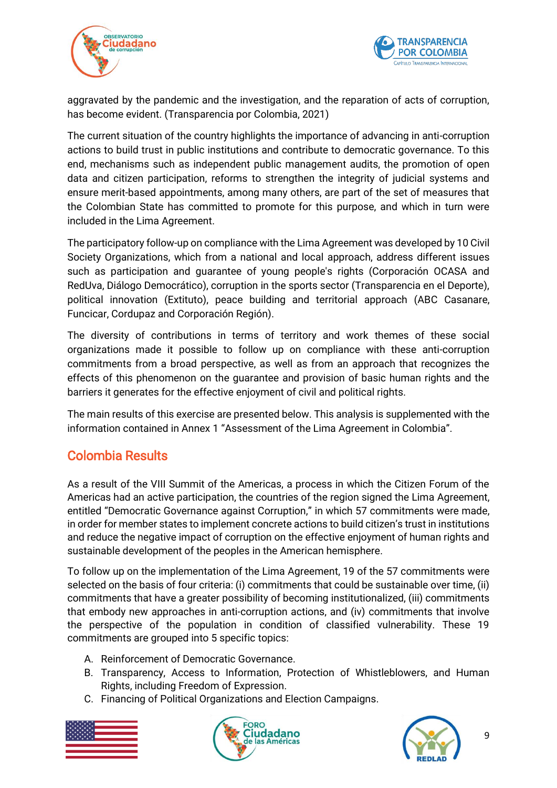



aggravated by the pandemic and the investigation, and the reparation of acts of corruption, has become evident. (Transparencia por Colombia, 2021)

The current situation of the country highlights the importance of advancing in anti-corruption actions to build trust in public institutions and contribute to democratic governance. To this end, mechanisms such as independent public management audits, the promotion of open data and citizen participation, reforms to strengthen the integrity of judicial systems and ensure merit-based appointments, among many others, are part of the set of measures that the Colombian State has committed to promote for this purpose, and which in turn were included in the Lima Agreement.

The participatory follow-up on compliance with the Lima Agreement was developed by 10 Civil Society Organizations, which from a national and local approach, address different issues such as participation and guarantee of young people's rights (Corporación OCASA and RedUva, Diálogo Democrático), corruption in the sports sector (Transparencia en el Deporte), political innovation (Extituto), peace building and territorial approach (ABC Casanare, Funcicar, Cordupaz and Corporación Región).

The diversity of contributions in terms of territory and work themes of these social organizations made it possible to follow up on compliance with these anti-corruption commitments from a broad perspective, as well as from an approach that recognizes the effects of this phenomenon on the guarantee and provision of basic human rights and the barriers it generates for the effective enjoyment of civil and political rights.

The main results of this exercise are presented below. This analysis is supplemented with the information contained in Annex 1 "Assessment of the Lima Agreement in Colombia".

# <span id="page-8-0"></span>Colombia Results

As a result of the VIII Summit of the Americas, a process in which the Citizen Forum of the Americas had an active participation, the countries of the region signed the Lima Agreement, entitled "Democratic Governance against Corruption," in which 57 commitments were made, in order for member states to implement concrete actions to build citizen's trust in institutions and reduce the negative impact of corruption on the effective enjoyment of human rights and sustainable development of the peoples in the American hemisphere.

To follow up on the implementation of the Lima Agreement, 19 of the 57 commitments were selected on the basis of four criteria: (i) commitments that could be sustainable over time, (ii) commitments that have a greater possibility of becoming institutionalized, (iii) commitments that embody new approaches in anti-corruption actions, and (iv) commitments that involve the perspective of the population in condition of classified vulnerability. These 19 commitments are grouped into 5 specific topics:

- A. Reinforcement of Democratic Governance.
- B. Transparency, Access to Information, Protection of Whistleblowers, and Human Rights, including Freedom of Expression.
- C. Financing of Political Organizations and Election Campaigns.





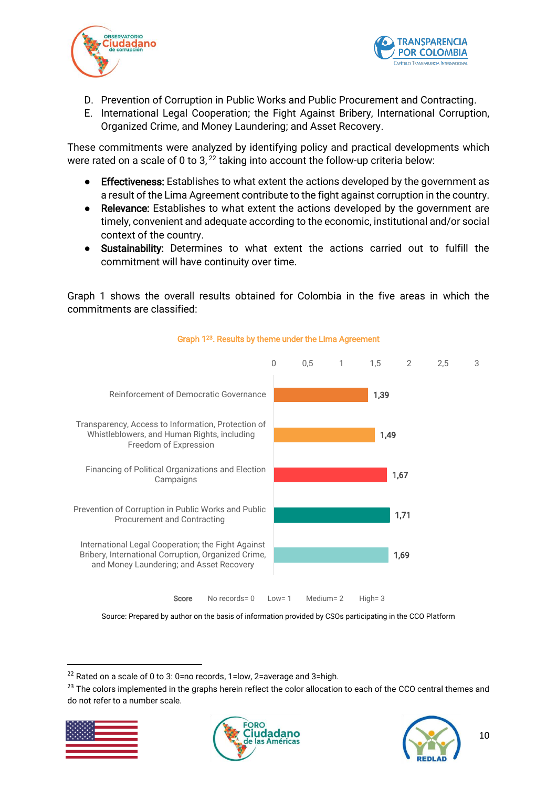



- D. Prevention of Corruption in Public Works and Public Procurement and Contracting.
- E. International Legal Cooperation; the Fight Against Bribery, International Corruption, Organized Crime, and Money Laundering; and Asset Recovery.

These commitments were analyzed by identifying policy and practical developments which were rated on a scale of 0 to 3,<sup>22</sup> taking into account the follow-up criteria below:

- Effectiveness: Establishes to what extent the actions developed by the government as a result of the Lima Agreement contribute to the fight against corruption in the country.
- Relevance: Establishes to what extent the actions developed by the government are timely, convenient and adequate according to the economic, institutional and/or social context of the country.
- Sustainability: Determines to what extent the actions carried out to fulfill the commitment will have continuity over time.

Graph 1 shows the overall results obtained for Colombia in the five areas in which the commitments are classified:



Graph 1<sup>23</sup>. Results by theme under the Lima Agreement

Source: Prepared by author on the basis of information provided by CSOs participating in the CCO Platform

<sup>&</sup>lt;sup>23</sup> The colors implemented in the graphs herein reflect the color allocation to each of the CCO central themes and do not refer to a number scale.







<sup>&</sup>lt;sup>22</sup> Rated on a scale of 0 to 3: 0=no records, 1=low, 2=average and 3=high.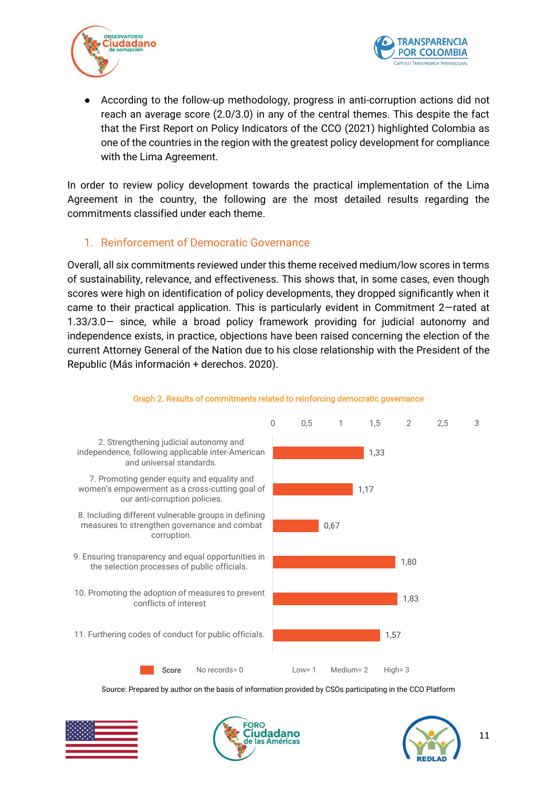



According to the follow-up methodology, progress in anti-corruption actions did not reach an average score (2.0/3.0) in any of the central themes. This despite the fact that the First Report on Policy Indicators of the CCO (2021) highlighted Colombia as one of the countries in the region with the greatest policy development for compliance with the Lima Agreement.

In order to review policy development towards the practical implementation of the Lima Agreement in the country, the following are the most detailed results regarding the commitments classified under each theme.

### <span id="page-10-0"></span>1. Reinforcement of Democratic Governance

Overall, all six commitments reviewed under this theme received medium/low scores in terms of sustainability, relevance, and effectiveness. This shows that, in some cases, even though scores were high on identification of policy developments, they dropped significantly when it came to their practical application. This is particularly evident in Commitment 2—rated at 1.33/3.0— since, while a broad policy framework providing for judicial autonomy and independence exists, in practice, objections have been raised concerning the election of the current Attorney General of the Nation due to his close relationship with the President of the Republic (Más información + derechos. 2020).



#### Graph 2. Results of commitments related to reinforcing democratic governance





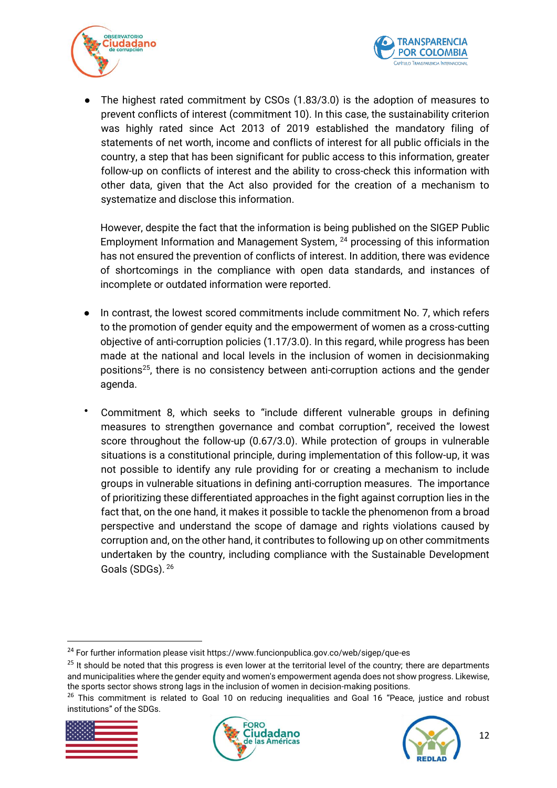



• The highest rated commitment by CSOs (1.83/3.0) is the adoption of measures to prevent conflicts of interest (commitment 10). In this case, the sustainability criterion was highly rated since Act 2013 of 2019 established the mandatory filing of statements of net worth, income and conflicts of interest for all public officials in the country, a step that has been significant for public access to this information, greater follow-up on conflicts of interest and the ability to cross-check this information with other data, given that the Act also provided for the creation of a mechanism to systematize and disclose this information.

However, despite the fact that the information is being published on the SIGEP Public Employment Information and Management System, <sup>24</sup> processing of this information has not ensured the prevention of conflicts of interest. In addition, there was evidence of shortcomings in the compliance with open data standards, and instances of incomplete or outdated information were reported.

- In contrast, the lowest scored commitments include commitment No. 7, which refers to the promotion of gender equity and the empowerment of women as a cross-cutting objective of anti-corruption policies (1.17/3.0). In this regard, while progress has been made at the national and local levels in the inclusion of women in decisionmaking positions<sup>25</sup>, there is no consistency between anti-corruption actions and the gender agenda.
- Commitment 8, which seeks to "include different vulnerable groups in defining measures to strengthen governance and combat corruption", received the lowest score throughout the follow-up (0.67/3.0). While protection of groups in vulnerable situations is a constitutional principle, during implementation of this follow-up, it was not possible to identify any rule providing for or creating a mechanism to include groups in vulnerable situations in defining anti-corruption measures. The importance of prioritizing these differentiated approaches in the fight against corruption lies in the fact that, on the one hand, it makes it possible to tackle the phenomenon from a broad perspective and understand the scope of damage and rights violations caused by corruption and, on the other hand, it contributes to following up on other commitments undertaken by the country, including compliance with the Sustainable Development Goals (SDGs). <sup>26</sup>

<sup>&</sup>lt;sup>26</sup> This commitment is related to Goal 10 on reducing inequalities and Goal 16 "Peace, justice and robust institutions" of the SDGs.



1





<sup>24</sup> For further information please visit https://www.funcionpublica.gov.co/web/sigep/que-es

<sup>&</sup>lt;sup>25</sup> It should be noted that this progress is even lower at the territorial level of the country; there are departments and municipalities where the gender equity and women's empowerment agenda does not show progress. Likewise, the sports sector shows strong lags in the inclusion of women in decision-making positions.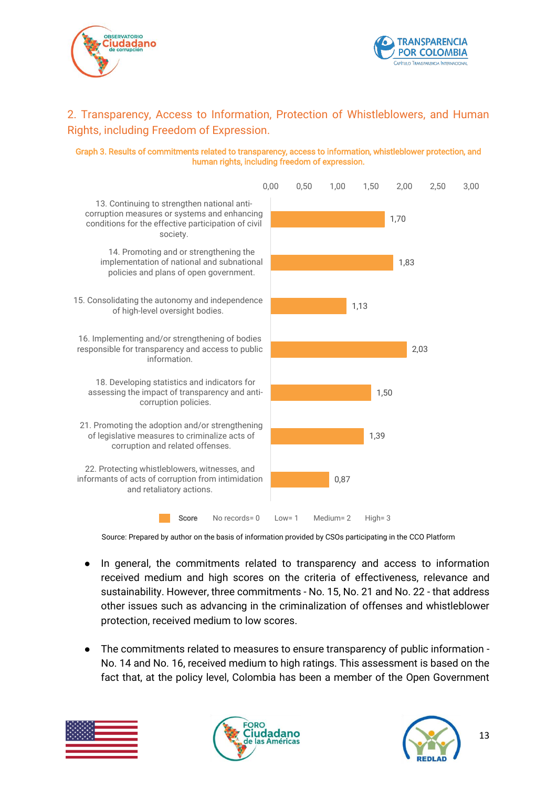



## <span id="page-12-0"></span>2. Transparency, Access to Information, Protection of Whistleblowers, and Human Rights, including Freedom of Expression.

#### Graph 3. Results of commitments related to transparency, access to information, whistleblower protection, and human rights, including freedom of expression.



Source: Prepared by author on the basis of information provided by CSOs participating in the CCO Platform

- In general, the commitments related to transparency and access to information received medium and high scores on the criteria of effectiveness, relevance and sustainability. However, three commitments - No. 15, No. 21 and No. 22 - that address other issues such as advancing in the criminalization of offenses and whistleblower protection, received medium to low scores.
- The commitments related to measures to ensure transparency of public information No. 14 and No. 16, received medium to high ratings. This assessment is based on the fact that, at the policy level, Colombia has been a member of the Open Government





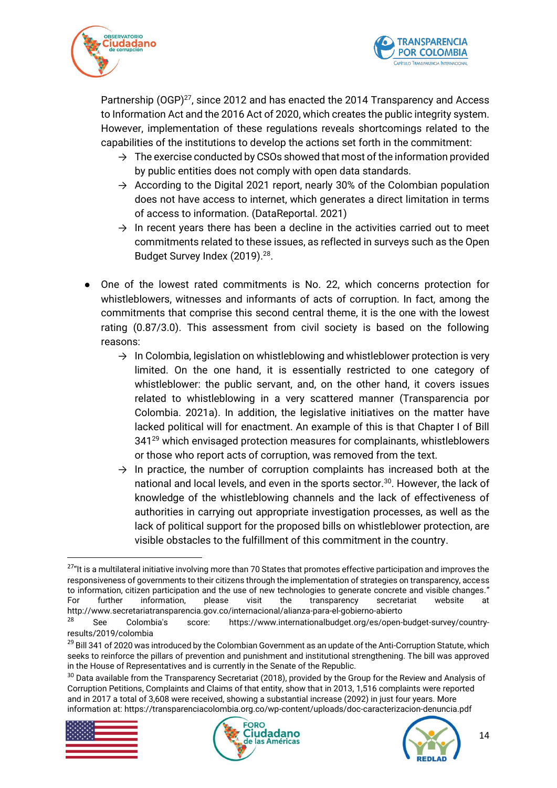



Partnership (OGP)<sup>27</sup>, since 2012 and has enacted the 2014 Transparency and Access to Information Act and the 2016 Act of 2020, which creates the public integrity system. However, implementation of these regulations reveals shortcomings related to the capabilities of the institutions to develop the actions set forth in the commitment:

- $\rightarrow$  The exercise conducted by CSOs showed that most of the information provided by public entities does not comply with open data standards.
- $\rightarrow$  According to the Digital 2021 report, nearly 30% of the Colombian population does not have access to internet, which generates a direct limitation in terms of access to information. (DataReportal. 2021)
- $\rightarrow$  In recent years there has been a decline in the activities carried out to meet commitments related to these issues, as reflected in surveys such as the Open Budget Survey Index (2019).<sup>28</sup>.
- One of the lowest rated commitments is No. 22, which concerns protection for whistleblowers, witnesses and informants of acts of corruption. In fact, among the commitments that comprise this second central theme, it is the one with the lowest rating (0.87/3.0). This assessment from civil society is based on the following reasons:
	- $\rightarrow$  In Colombia, legislation on whistleblowing and whistleblower protection is very limited. On the one hand, it is essentially restricted to one category of whistleblower: the public servant, and, on the other hand, it covers issues related to whistleblowing in a very scattered manner (Transparencia por Colombia. 2021a). In addition, the legislative initiatives on the matter have lacked political will for enactment. An example of this is that Chapter I of Bill 341<sup>29</sup> which envisaged protection measures for complainants, whistleblowers or those who report acts of corruption, was removed from the text.
	- $\rightarrow$  In practice, the number of corruption complaints has increased both at the national and local levels, and even in the sports sector.<sup>30</sup>. However, the lack of knowledge of the whistleblowing channels and the lack of effectiveness of authorities in carrying out appropriate investigation processes, as well as the lack of political support for the proposed bills on whistleblower protection, are visible obstacles to the fulfillment of this commitment in the country.

<sup>&</sup>lt;sup>30</sup> Data available from the Transparency Secretariat (2018), provided by the Group for the Review and Analysis of Corruption Petitions, Complaints and Claims of that entity, show that in 2013, 1,516 complaints were reported and in 2017 a total of 3,608 were received, showing a substantial increase (2092) in just four years. More information at: https://transparenciacolombia.org.co/wp-content/uploads/doc-caracterizacion-denuncia.pdf



 $\overline{\phantom{a}}$ 





<sup>&</sup>lt;sup>27</sup>"It is a multilateral initiative involving more than 70 States that promotes effective participation and improves the responsiveness of governments to their citizens through the implementation of strategies on transparency, access to information, citizen participation and the use of new technologies to generate concrete and visible changes." For further information, please visit the transparency secretariat website at http://www.secretariatransparencia.gov.co/internacional/alianza-para-el-gobierno-abierto

<sup>28</sup> See Colombia's score: https://www.internationalbudget.org/es/open-budget-survey/countryresults/2019/colombia

<sup>&</sup>lt;sup>29</sup> Bill 341 of 2020 was introduced by the Colombian Government as an update of the Anti-Corruption Statute, which seeks to reinforce the pillars of prevention and punishment and institutional strengthening. The bill was approved in the House of Representatives and is currently in the Senate of the Republic.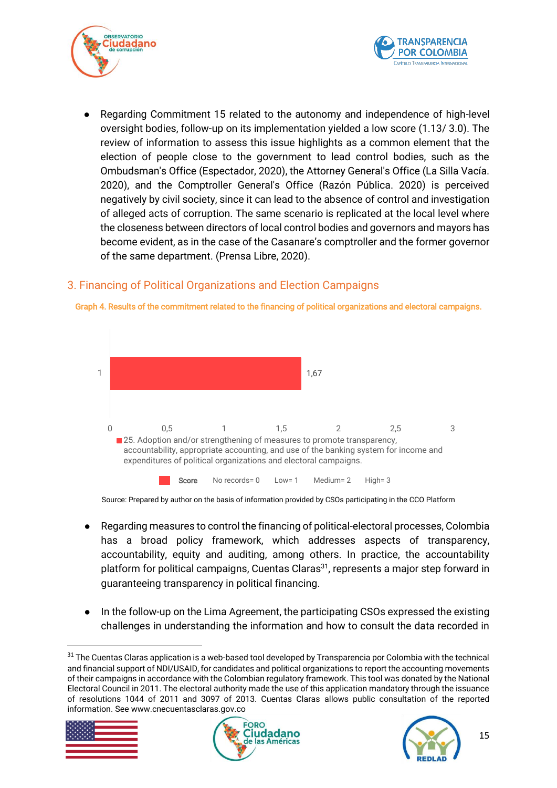



Regarding Commitment 15 related to the autonomy and independence of high-level oversight bodies, follow-up on its implementation yielded a low score (1.13/ 3.0). The review of information to assess this issue highlights as a common element that the election of people close to the government to lead control bodies, such as the Ombudsman's Office (Espectador, 2020), the Attorney General's Office (La Silla Vacía. 2020), and the Comptroller General's Office (Razón Pública. 2020) is perceived negatively by civil society, since it can lead to the absence of control and investigation of alleged acts of corruption. The same scenario is replicated at the local level where the closeness between directors of local control bodies and governors and mayors has become evident, as in the case of the Casanare's comptroller and the former governor of the same department. (Prensa Libre, 2020).

# <span id="page-14-0"></span>3. Financing of Political Organizations and Election Campaigns



Graph 4. Results of the commitment related to the financing of political organizations and electoral campaigns.

Source: Prepared by author on the basis of information provided by CSOs participating in the CCO Platform

- Regarding measures to control the financing of political-electoral processes, Colombia has a broad policy framework, which addresses aspects of transparency, accountability, equity and auditing, among others. In practice, the accountability platform for political campaigns, Cuentas Claras<sup>31</sup>, represents a major step forward in guaranteeing transparency in political financing.
- In the follow-up on the Lima Agreement, the participating CSOs expressed the existing challenges in understanding the information and how to consult the data recorded in

<sup>&</sup>lt;sup>31</sup> The Cuentas Claras application is a web-based tool developed by Transparencia por Colombia with the technical and financial support of NDI/USAID, for candidates and political organizations to report the accounting movements of their campaigns in accordance with the Colombian regulatory framework. This tool was donated by the National Electoral Council in 2011. The electoral authority made the use of this application mandatory through the issuance of resolutions 1044 of 2011 and 3097 of 2013. Cuentas Claras allows public consultation of the reported information. See www.cnecuentasclaras.gov.co



1



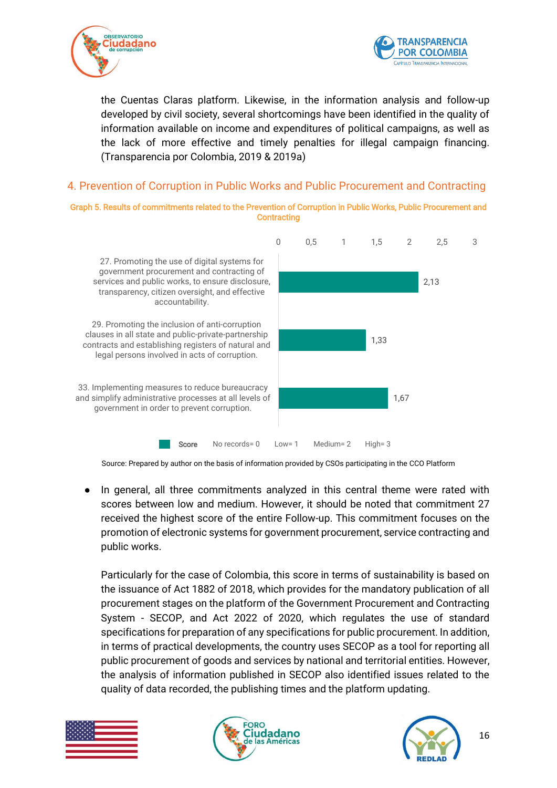



the Cuentas Claras platform. Likewise, in the information analysis and follow-up developed by civil society, several shortcomings have been identified in the quality of information available on income and expenditures of political campaigns, as well as the lack of more effective and timely penalties for illegal campaign financing. (Transparencia por Colombia, 2019 & 2019a)

### <span id="page-15-0"></span>4. Prevention of Corruption in Public Works and Public Procurement and Contracting

Graph 5. Results of commitments related to the Prevention of Corruption in Public Works, Public Procurement and **Contracting** 



Source: Prepared by author on the basis of information provided by CSOs participating in the CCO Platform

● In general, all three commitments analyzed in this central theme were rated with scores between low and medium. However, it should be noted that commitment 27 received the highest score of the entire Follow-up. This commitment focuses on the promotion of electronic systems for government procurement, service contracting and public works.

Particularly for the case of Colombia, this score in terms of sustainability is based on the issuance of Act 1882 of 2018, which provides for the mandatory publication of all procurement stages on the platform of the Government Procurement and Contracting System - SECOP, and Act 2022 of 2020, which regulates the use of standard specifications for preparation of any specifications for public procurement. In addition, in terms of practical developments, the country uses SECOP as a tool for reporting all public procurement of goods and services by national and territorial entities. However, the analysis of information published in SECOP also identified issues related to the quality of data recorded, the publishing times and the platform updating.





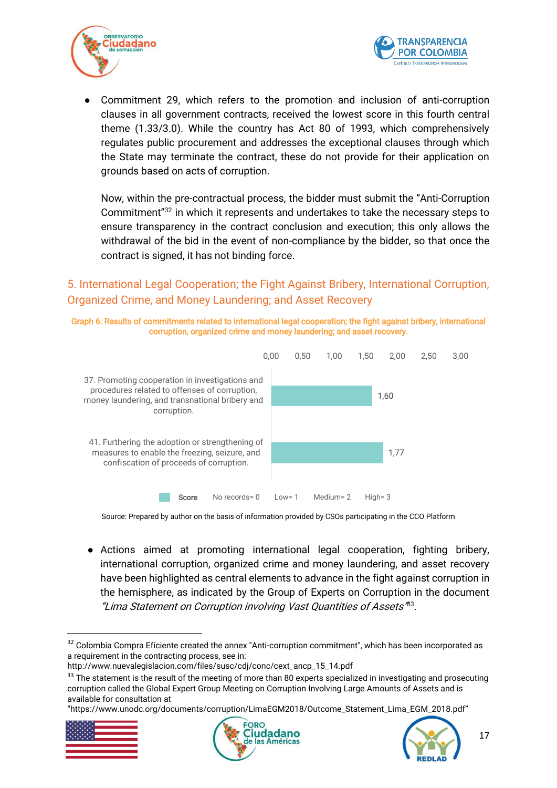



Commitment 29, which refers to the promotion and inclusion of anti-corruption clauses in all government contracts, received the lowest score in this fourth central theme (1.33/3.0). While the country has Act 80 of 1993, which comprehensively regulates public procurement and addresses the exceptional clauses through which the State may terminate the contract, these do not provide for their application on grounds based on acts of corruption.

Now, within the pre-contractual process, the bidder must submit the "Anti-Corruption Commitment"<sup>32</sup> in which it represents and undertakes to take the necessary steps to ensure transparency in the contract conclusion and execution; this only allows the withdrawal of the bid in the event of non-compliance by the bidder, so that once the contract is signed, it has not binding force.

## <span id="page-16-0"></span>5. International Legal Cooperation; the Fight Against Bribery, International Corruption, Organized Crime, and Money Laundering; and Asset Recovery





Source: Prepared by author on the basis of information provided by CSOs participating in the CCO Platform

● Actions aimed at promoting international legal cooperation, fighting bribery, international corruption, organized crime and money laundering, and asset recovery have been highlighted as central elements to advance in the fight against corruption in the hemisphere, as indicated by the Group of Experts on Corruption in the document "Lima Statement on Corruption involving Vast Quantities of Assets'<sup>83</sup>.

<sup>&</sup>quot;https://www.unodc.org/documents/corruption/LimaEGM2018/Outcome\_Statement\_Lima\_EGM\_2018.pdf"



1





<sup>&</sup>lt;sup>32</sup> Colombia Compra Eficiente created the annex "Anti-corruption commitment", which has been incorporated as a requirement in the contracting process, see in:

http://www.nuevalegislacion.com/files/susc/cdj/conc/cext\_ancp\_15\_14.pdf

<sup>&</sup>lt;sup>33</sup> The statement is the result of the meeting of more than 80 experts specialized in investigating and prosecuting corruption called the Global Expert Group Meeting on Corruption Involving Large Amounts of Assets and is available for consultation at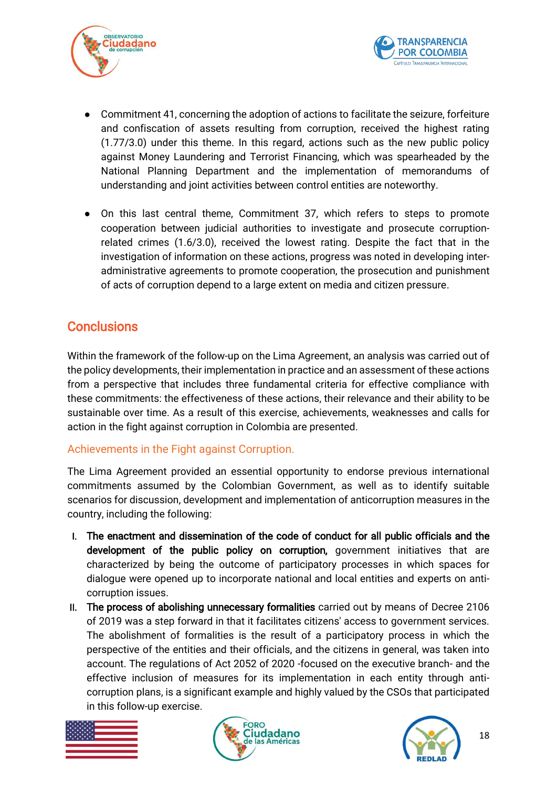



- Commitment 41, concerning the adoption of actions to facilitate the seizure, forfeiture and confiscation of assets resulting from corruption, received the highest rating (1.77/3.0) under this theme. In this regard, actions such as the new public policy against Money Laundering and Terrorist Financing, which was spearheaded by the National Planning Department and the implementation of memorandums of understanding and joint activities between control entities are noteworthy.
- On this last central theme, Commitment 37, which refers to steps to promote cooperation between judicial authorities to investigate and prosecute corruptionrelated crimes (1.6/3.0), received the lowest rating. Despite the fact that in the investigation of information on these actions, progress was noted in developing interadministrative agreements to promote cooperation, the prosecution and punishment of acts of corruption depend to a large extent on media and citizen pressure.

# <span id="page-17-0"></span>**Conclusions**

Within the framework of the follow-up on the Lima Agreement, an analysis was carried out of the policy developments, their implementation in practice and an assessment of these actions from a perspective that includes three fundamental criteria for effective compliance with these commitments: the effectiveness of these actions, their relevance and their ability to be sustainable over time. As a result of this exercise, achievements, weaknesses and calls for action in the fight against corruption in Colombia are presented.

## <span id="page-17-1"></span>Achievements in the Fight against Corruption.

The Lima Agreement provided an essential opportunity to endorse previous international commitments assumed by the Colombian Government, as well as to identify suitable scenarios for discussion, development and implementation of anticorruption measures in the country, including the following:

- I. The enactment and dissemination of the code of conduct for all public officials and the development of the public policy on corruption, government initiatives that are characterized by being the outcome of participatory processes in which spaces for dialogue were opened up to incorporate national and local entities and experts on anticorruption issues.
- II. The process of abolishing unnecessary formalities carried out by means of Decree 2106 of 2019 was a step forward in that it facilitates citizens' access to government services. The abolishment of formalities is the result of a participatory process in which the perspective of the entities and their officials, and the citizens in general, was taken into account. The regulations of Act 2052 of 2020 -focused on the executive branch- and the effective inclusion of measures for its implementation in each entity through anticorruption plans, is a significant example and highly valued by the CSOs that participated in this follow-up exercise.





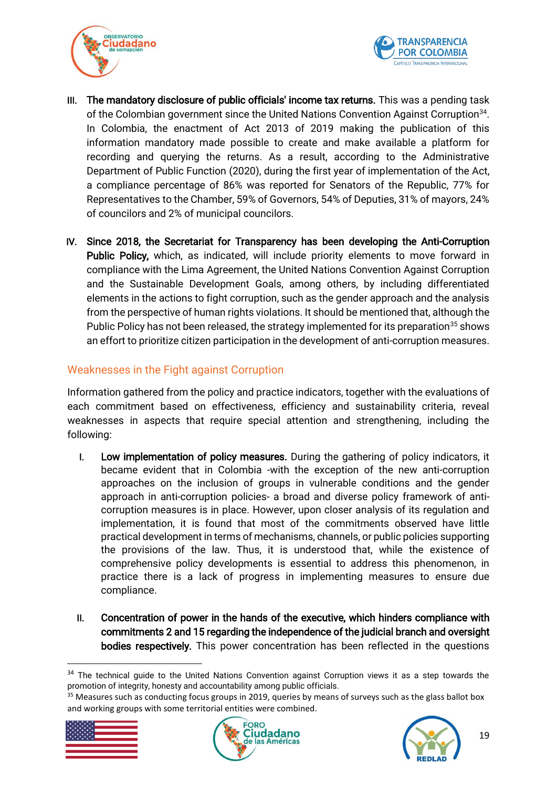



- III. The mandatory disclosure of public officials' income tax returns. This was a pending task of the Colombian government since the United Nations Convention Against Corruption<sup>34</sup>. In Colombia, the enactment of Act 2013 of 2019 making the publication of this information mandatory made possible to create and make available a platform for recording and querying the returns. As a result, according to the Administrative Department of Public Function (2020), during the first year of implementation of the Act, a compliance percentage of 86% was reported for Senators of the Republic, 77% for Representatives to the Chamber, 59% of Governors, 54% of Deputies, 31% of mayors, 24% of councilors and 2% of municipal councilors.
- IV. Since 2018, the Secretariat for Transparency has been developing the Anti-Corruption Public Policy, which, as indicated, will include priority elements to move forward in compliance with the Lima Agreement, the United Nations Convention Against Corruption and the Sustainable Development Goals, among others, by including differentiated elements in the actions to fight corruption, such as the gender approach and the analysis from the perspective of human rights violations. It should be mentioned that, although the Public Policy has not been released, the strategy implemented for its preparation<sup>35</sup> shows an effort to prioritize citizen participation in the development of anti-corruption measures.

## <span id="page-18-0"></span>Weaknesses in the Fight against Corruption

Information gathered from the policy and practice indicators, together with the evaluations of each commitment based on effectiveness, efficiency and sustainability criteria, reveal weaknesses in aspects that require special attention and strengthening, including the following:

- I. Low implementation of policy measures. During the gathering of policy indicators, it became evident that in Colombia -with the exception of the new anti-corruption approaches on the inclusion of groups in vulnerable conditions and the gender approach in anti-corruption policies- a broad and diverse policy framework of anticorruption measures is in place. However, upon closer analysis of its regulation and implementation, it is found that most of the commitments observed have little practical development in terms of mechanisms, channels, or public policies supporting the provisions of the law. Thus, it is understood that, while the existence of comprehensive policy developments is essential to address this phenomenon, in practice there is a lack of progress in implementing measures to ensure due compliance.
- II. Concentration of power in the hands of the executive, which hinders compliance with commitments 2 and 15 regarding the independence of the judicial branch and oversight bodies respectively. This power concentration has been reflected in the questions

<sup>&</sup>lt;sup>35</sup> Measures such as conducting focus groups in 2019, queries by means of surveys such as the glass ballot box and working groups with some territorial entities were combined.



 $\overline{\phantom{a}}$ 





<sup>&</sup>lt;sup>34</sup> The technical guide to the United Nations Convention against Corruption views it as a step towards the promotion of integrity, honesty and accountability among public officials.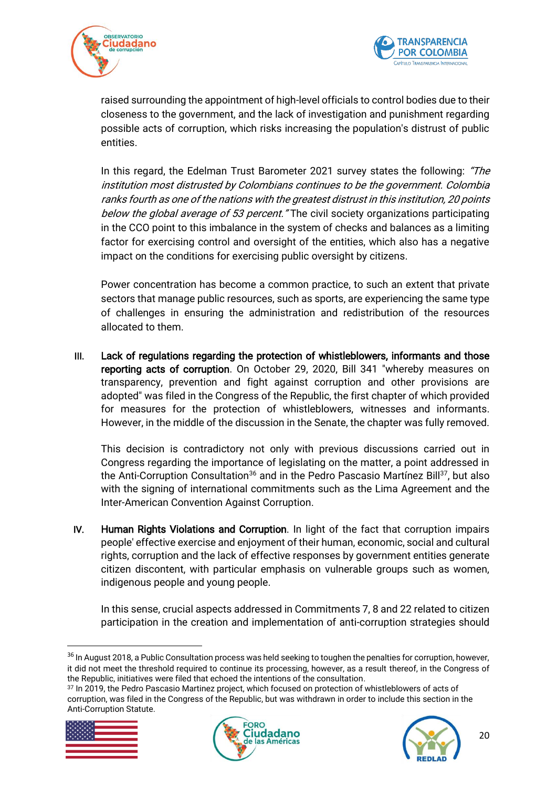



raised surrounding the appointment of high-level officials to control bodies due to their closeness to the government, and the lack of investigation and punishment regarding possible acts of corruption, which risks increasing the population's distrust of public entities.

In this regard, the Edelman Trust Barometer 2021 survey states the following: "The institution most distrusted by Colombians continues to be the government. Colombia ranks fourth as one of the nations with the greatest distrust in this institution, 20 points below the global average of 53 percent. "The civil society organizations participating in the CCO point to this imbalance in the system of checks and balances as a limiting factor for exercising control and oversight of the entities, which also has a negative impact on the conditions for exercising public oversight by citizens.

Power concentration has become a common practice, to such an extent that private sectors that manage public resources, such as sports, are experiencing the same type of challenges in ensuring the administration and redistribution of the resources allocated to them.

III. Lack of regulations regarding the protection of whistleblowers, informants and those reporting acts of corruption. On October 29, 2020, Bill 341 "whereby measures on transparency, prevention and fight against corruption and other provisions are adopted" was filed in the Congress of the Republic, the first chapter of which provided for measures for the protection of whistleblowers, witnesses and informants. However, in the middle of the discussion in the Senate, the chapter was fully removed.

This decision is contradictory not only with previous discussions carried out in Congress regarding the importance of legislating on the matter, a point addressed in the Anti-Corruption Consultation<sup>36</sup> and in the Pedro Pascasio Martínez Bill<sup>37</sup>, but also with the signing of international commitments such as the Lima Agreement and the Inter-American Convention Against Corruption.

IV. Human Rights Violations and Corruption. In light of the fact that corruption impairs people' effective exercise and enjoyment of their human, economic, social and cultural rights, corruption and the lack of effective responses by government entities generate citizen discontent, with particular emphasis on vulnerable groups such as women, indigenous people and young people.

In this sense, crucial aspects addressed in Commitments 7, 8 and 22 related to citizen participation in the creation and implementation of anti-corruption strategies should

<sup>&</sup>lt;sup>37</sup> In 2019, the Pedro Pascasio Martinez project, which focused on protection of whistleblowers of acts of corruption, was filed in the Congress of the Republic, but was withdrawn in order to include this section in the Anti-Corruption Statute.



1





<sup>&</sup>lt;sup>36</sup> In August 2018, a Public Consultation process was held seeking to toughen the penalties for corruption, however, it did not meet the threshold required to continue its processing, however, as a result thereof, in the Congress of the Republic, initiatives were filed that echoed the intentions of the consultation.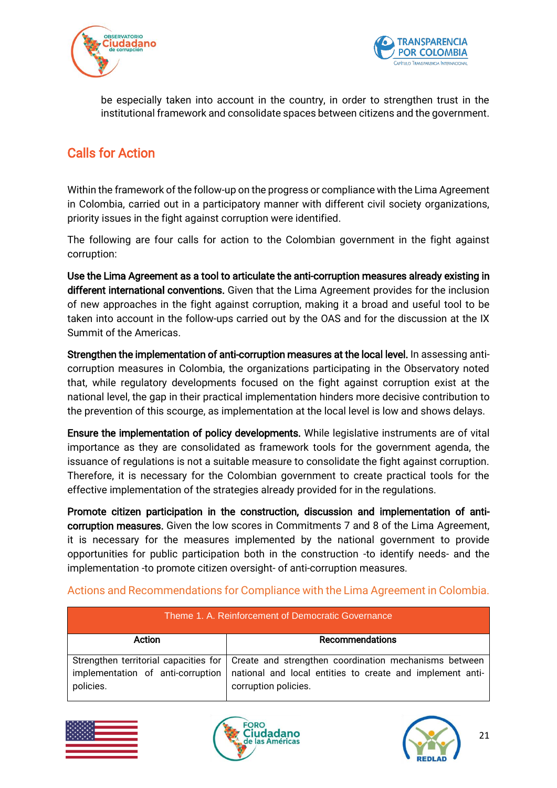



be especially taken into account in the country, in order to strengthen trust in the institutional framework and consolidate spaces between citizens and the government.

# <span id="page-20-0"></span>Calls for Action

Within the framework of the follow-up on the progress or compliance with the Lima Agreement in Colombia, carried out in a participatory manner with different civil society organizations, priority issues in the fight against corruption were identified.

The following are four calls for action to the Colombian government in the fight against corruption:

Use the Lima Agreement as a tool to articulate the anti-corruption measures already existing in different international conventions. Given that the Lima Agreement provides for the inclusion of new approaches in the fight against corruption, making it a broad and useful tool to be taken into account in the follow-ups carried out by the OAS and for the discussion at the IX Summit of the Americas.

Strengthen the implementation of anti-corruption measures at the local level. In assessing anticorruption measures in Colombia, the organizations participating in the Observatory noted that, while regulatory developments focused on the fight against corruption exist at the national level, the gap in their practical implementation hinders more decisive contribution to the prevention of this scourge, as implementation at the local level is low and shows delays.

Ensure the implementation of policy developments. While legislative instruments are of vital importance as they are consolidated as framework tools for the government agenda, the issuance of regulations is not a suitable measure to consolidate the fight against corruption. Therefore, it is necessary for the Colombian government to create practical tools for the effective implementation of the strategies already provided for in the regulations.

Promote citizen participation in the construction, discussion and implementation of anticorruption measures. Given the low scores in Commitments 7 and 8 of the Lima Agreement, it is necessary for the measures implemented by the national government to provide opportunities for public participation both in the construction -to identify needs- and the implementation -to promote citizen oversight- of anti-corruption measures.

| Theme 1. A. Reinforcement of Democratic Governance |                                                                                                                                                                                    |  |  |  |
|----------------------------------------------------|------------------------------------------------------------------------------------------------------------------------------------------------------------------------------------|--|--|--|
| Action                                             | Recommendations                                                                                                                                                                    |  |  |  |
| implementation of anti-corruption<br>policies.     | Strengthen territorial capacities for   Create and strengthen coordination mechanisms between<br>national and local entities to create and implement anti-<br>corruption policies. |  |  |  |

### <span id="page-20-1"></span>Actions and Recommendations for Compliance with the Lima Agreement in Colombia.





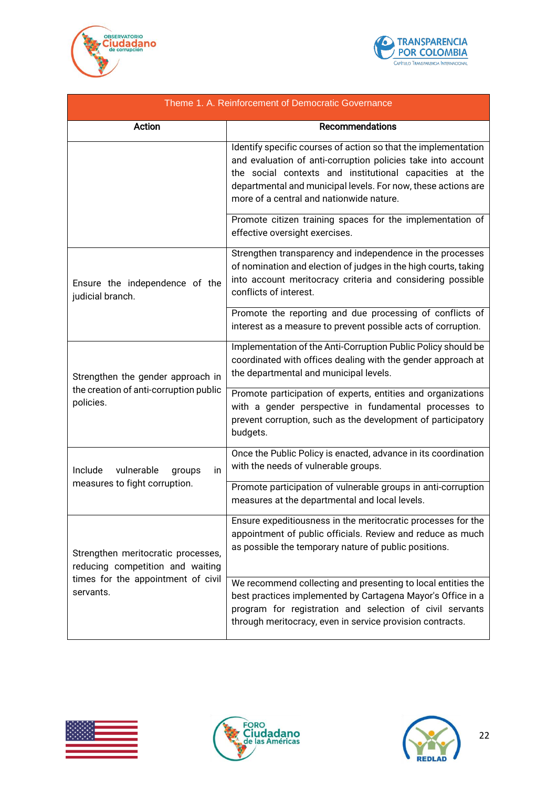



| Theme 1. A. Reinforcement of Democratic Governance                                                                        |                                                                                                                                                                                                                                                                                                        |  |  |
|---------------------------------------------------------------------------------------------------------------------------|--------------------------------------------------------------------------------------------------------------------------------------------------------------------------------------------------------------------------------------------------------------------------------------------------------|--|--|
| Action                                                                                                                    | <b>Recommendations</b>                                                                                                                                                                                                                                                                                 |  |  |
|                                                                                                                           | Identify specific courses of action so that the implementation<br>and evaluation of anti-corruption policies take into account<br>the social contexts and institutional capacities at the<br>departmental and municipal levels. For now, these actions are<br>more of a central and nationwide nature. |  |  |
|                                                                                                                           | Promote citizen training spaces for the implementation of<br>effective oversight exercises.                                                                                                                                                                                                            |  |  |
| Ensure the independence of the<br>judicial branch.                                                                        | Strengthen transparency and independence in the processes<br>of nomination and election of judges in the high courts, taking<br>into account meritocracy criteria and considering possible<br>conflicts of interest.                                                                                   |  |  |
|                                                                                                                           | Promote the reporting and due processing of conflicts of<br>interest as a measure to prevent possible acts of corruption.                                                                                                                                                                              |  |  |
| Strengthen the gender approach in<br>the creation of anti-corruption public<br>policies.                                  | Implementation of the Anti-Corruption Public Policy should be<br>coordinated with offices dealing with the gender approach at<br>the departmental and municipal levels.                                                                                                                                |  |  |
|                                                                                                                           | Promote participation of experts, entities and organizations<br>with a gender perspective in fundamental processes to<br>prevent corruption, such as the development of participatory<br>budgets.                                                                                                      |  |  |
| vulnerable<br>Include<br>in<br>groups                                                                                     | Once the Public Policy is enacted, advance in its coordination<br>with the needs of vulnerable groups.                                                                                                                                                                                                 |  |  |
| measures to fight corruption.                                                                                             | Promote participation of vulnerable groups in anti-corruption<br>measures at the departmental and local levels.                                                                                                                                                                                        |  |  |
| Strengthen meritocratic processes,<br>reducing competition and waiting<br>times for the appointment of civil<br>servants. | Ensure expeditiousness in the meritocratic processes for the<br>appointment of public officials. Review and reduce as much<br>as possible the temporary nature of public positions.                                                                                                                    |  |  |
|                                                                                                                           | We recommend collecting and presenting to local entities the<br>best practices implemented by Cartagena Mayor's Office in a<br>program for registration and selection of civil servants<br>through meritocracy, even in service provision contracts.                                                   |  |  |





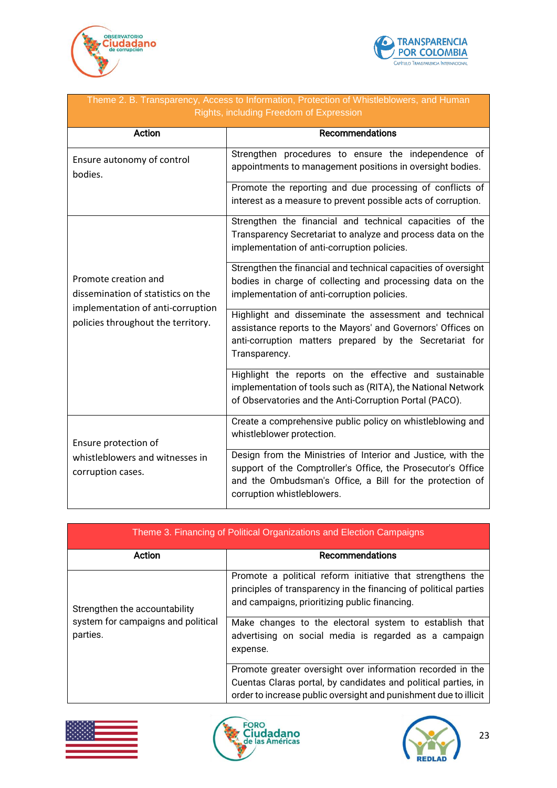



| Theme 2. B. Transparency, Access to Information, Protection of Whistleblowers, and Human<br>Rights, including Freedom of Expression   |                                                                                                                                                                                                                        |  |  |
|---------------------------------------------------------------------------------------------------------------------------------------|------------------------------------------------------------------------------------------------------------------------------------------------------------------------------------------------------------------------|--|--|
| Action                                                                                                                                | <b>Recommendations</b>                                                                                                                                                                                                 |  |  |
| Ensure autonomy of control<br>bodies.                                                                                                 | Strengthen procedures to ensure the independence of<br>appointments to management positions in oversight bodies.                                                                                                       |  |  |
|                                                                                                                                       | Promote the reporting and due processing of conflicts of<br>interest as a measure to prevent possible acts of corruption.                                                                                              |  |  |
|                                                                                                                                       | Strengthen the financial and technical capacities of the<br>Transparency Secretariat to analyze and process data on the<br>implementation of anti-corruption policies.                                                 |  |  |
| Promote creation and<br>dissemination of statistics on the<br>implementation of anti-corruption<br>policies throughout the territory. | Strengthen the financial and technical capacities of oversight<br>bodies in charge of collecting and processing data on the<br>implementation of anti-corruption policies.                                             |  |  |
|                                                                                                                                       | Highlight and disseminate the assessment and technical<br>assistance reports to the Mayors' and Governors' Offices on<br>anti-corruption matters prepared by the Secretariat for<br>Transparency.                      |  |  |
|                                                                                                                                       | Highlight the reports on the effective and sustainable<br>implementation of tools such as (RITA), the National Network<br>of Observatories and the Anti-Corruption Portal (PACO).                                      |  |  |
| Ensure protection of                                                                                                                  | Create a comprehensive public policy on whistleblowing and<br>whistleblower protection.                                                                                                                                |  |  |
| whistleblowers and witnesses in<br>corruption cases.                                                                                  | Design from the Ministries of Interior and Justice, with the<br>support of the Comptroller's Office, the Prosecutor's Office<br>and the Ombudsman's Office, a Bill for the protection of<br>corruption whistleblowers. |  |  |

| Theme 3. Financing of Political Organizations and Election Campaigns |                                                                                                                                                                                                  |  |  |  |  |
|----------------------------------------------------------------------|--------------------------------------------------------------------------------------------------------------------------------------------------------------------------------------------------|--|--|--|--|
| Action                                                               | Recommendations                                                                                                                                                                                  |  |  |  |  |
| Strengthen the accountability                                        | Promote a political reform initiative that strengthens the<br>principles of transparency in the financing of political parties<br>and campaigns, prioritizing public financing.                  |  |  |  |  |
| system for campaigns and political<br>parties.                       | Make changes to the electoral system to establish that<br>advertising on social media is regarded as a campaign<br>expense.                                                                      |  |  |  |  |
|                                                                      | Promote greater oversight over information recorded in the<br>Cuentas Claras portal, by candidates and political parties, in<br>order to increase public oversight and punishment due to illicit |  |  |  |  |





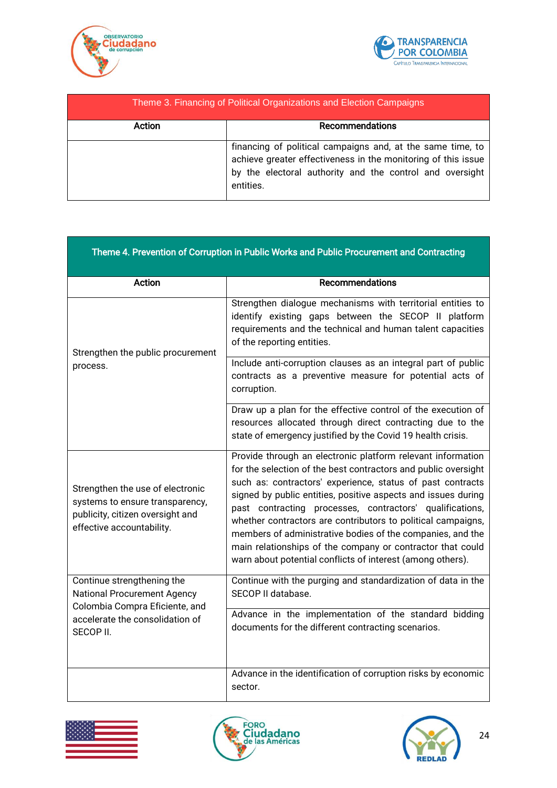



| Theme 3. Financing of Political Organizations and Election Campaigns |                                                                                                                                                                                                      |  |  |
|----------------------------------------------------------------------|------------------------------------------------------------------------------------------------------------------------------------------------------------------------------------------------------|--|--|
| Action                                                               | Recommendations                                                                                                                                                                                      |  |  |
|                                                                      | financing of political campaigns and, at the same time, to<br>achieve greater effectiveness in the monitoring of this issue<br>by the electoral authority and the control and oversight<br>entities. |  |  |

| Theme 4. Prevention of Corruption in Public Works and Public Procurement and Contracting                                             |                                                                                                                                                                                                                                                                                                                                                                                                                                                                                                                                                                                    |  |  |
|--------------------------------------------------------------------------------------------------------------------------------------|------------------------------------------------------------------------------------------------------------------------------------------------------------------------------------------------------------------------------------------------------------------------------------------------------------------------------------------------------------------------------------------------------------------------------------------------------------------------------------------------------------------------------------------------------------------------------------|--|--|
| Action                                                                                                                               | <b>Recommendations</b>                                                                                                                                                                                                                                                                                                                                                                                                                                                                                                                                                             |  |  |
| Strengthen the public procurement<br>process.                                                                                        | Strengthen dialogue mechanisms with territorial entities to<br>identify existing gaps between the SECOP II platform<br>requirements and the technical and human talent capacities<br>of the reporting entities.                                                                                                                                                                                                                                                                                                                                                                    |  |  |
|                                                                                                                                      | Include anti-corruption clauses as an integral part of public<br>contracts as a preventive measure for potential acts of<br>corruption.                                                                                                                                                                                                                                                                                                                                                                                                                                            |  |  |
|                                                                                                                                      | Draw up a plan for the effective control of the execution of<br>resources allocated through direct contracting due to the<br>state of emergency justified by the Covid 19 health crisis.                                                                                                                                                                                                                                                                                                                                                                                           |  |  |
| Strengthen the use of electronic<br>systems to ensure transparency,<br>publicity, citizen oversight and<br>effective accountability. | Provide through an electronic platform relevant information<br>for the selection of the best contractors and public oversight<br>such as: contractors' experience, status of past contracts<br>signed by public entities, positive aspects and issues during<br>past contracting processes, contractors' qualifications,<br>whether contractors are contributors to political campaigns,<br>members of administrative bodies of the companies, and the<br>main relationships of the company or contractor that could<br>warn about potential conflicts of interest (among others). |  |  |
| Continue strengthening the<br><b>National Procurement Agency</b><br>Colombia Compra Eficiente, and                                   | Continue with the purging and standardization of data in the<br>SECOP II database.                                                                                                                                                                                                                                                                                                                                                                                                                                                                                                 |  |  |
| accelerate the consolidation of<br>SECOP II.                                                                                         | Advance in the implementation of the standard bidding<br>documents for the different contracting scenarios.                                                                                                                                                                                                                                                                                                                                                                                                                                                                        |  |  |
|                                                                                                                                      | Advance in the identification of corruption risks by economic<br>sector.                                                                                                                                                                                                                                                                                                                                                                                                                                                                                                           |  |  |







÷,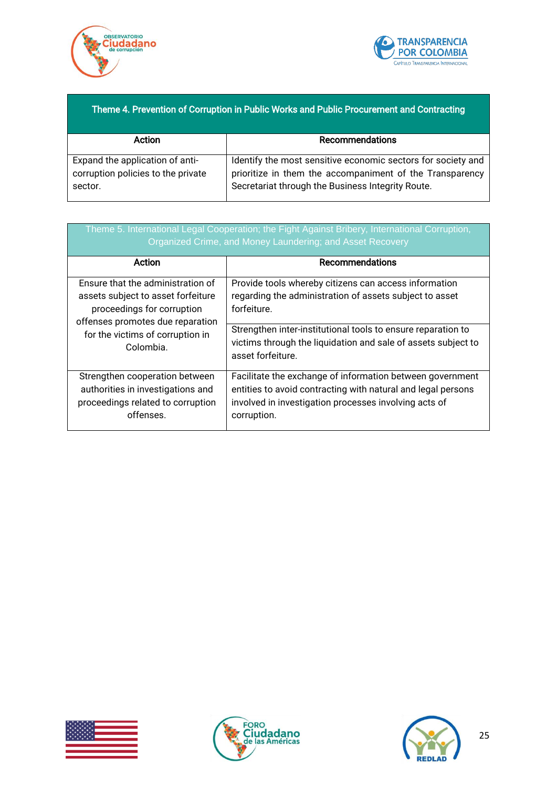



### Theme 4. Prevention of Corruption in Public Works and Public Procurement and Contracting

| Action                             | Recommendations                                              |  |  |
|------------------------------------|--------------------------------------------------------------|--|--|
|                                    |                                                              |  |  |
| Expand the application of anti-    | Identify the most sensitive economic sectors for society and |  |  |
| corruption policies to the private | prioritize in them the accompaniment of the Transparency     |  |  |
| sector.                            | Secretariat through the Business Integrity Route.            |  |  |
|                                    |                                                              |  |  |

| Theme 5. International Legal Cooperation; the Fight Against Bribery, International Corruption,<br>Organized Crime, and Money Laundering; and Asset Recovery |                                                               |  |  |
|-------------------------------------------------------------------------------------------------------------------------------------------------------------|---------------------------------------------------------------|--|--|
| Action                                                                                                                                                      | Recommendations                                               |  |  |
| Ensure that the administration of                                                                                                                           | Provide tools whereby citizens can access information         |  |  |
| assets subject to asset forfeiture                                                                                                                          | regarding the administration of assets subject to asset       |  |  |
| proceedings for corruption                                                                                                                                  | forfeiture.                                                   |  |  |
| offenses promotes due reparation                                                                                                                            | Strengthen inter-institutional tools to ensure reparation to  |  |  |
| for the victims of corruption in                                                                                                                            | victims through the liquidation and sale of assets subject to |  |  |
| Colombia.                                                                                                                                                   | asset forfeiture.                                             |  |  |
| Strengthen cooperation between                                                                                                                              | Facilitate the exchange of information between government     |  |  |
| authorities in investigations and                                                                                                                           | entities to avoid contracting with natural and legal persons  |  |  |
| proceedings related to corruption                                                                                                                           | involved in investigation processes involving acts of         |  |  |
| offenses.                                                                                                                                                   | corruption.                                                   |  |  |





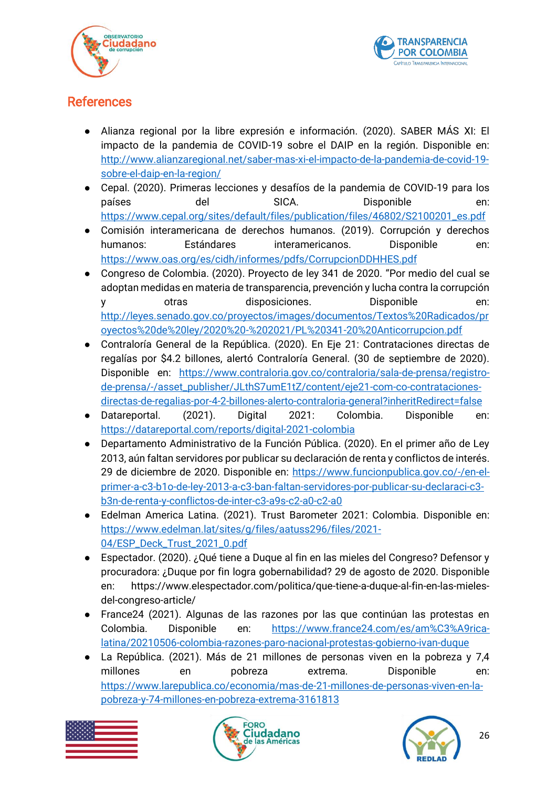



# <span id="page-25-0"></span>**References**

- Alianza regional por la libre expresión e información. (2020). SABER MÁS XI: El impacto de la pandemia de COVID-19 sobre el DAIP en la región. Disponible en: [http://www.alianzaregional.net/saber-mas-xi-el-impacto-de-la-pandemia-de-covid-19](http://www.alianzaregional.net/saber-mas-xi-el-impacto-de-la-pandemia-de-covid-19-sobre-el-daip-en-la-region/) [sobre-el-daip-en-la-region/](http://www.alianzaregional.net/saber-mas-xi-el-impacto-de-la-pandemia-de-covid-19-sobre-el-daip-en-la-region/)
- Cepal. (2020). Primeras lecciones y desafíos de la pandemia de COVID-19 para los países del SICA. Disponible en: [https://www.cepal.org/sites/default/files/publication/files/46802/S2100201\\_es.pdf](https://www.cepal.org/sites/default/files/publication/files/46802/S2100201_es.pdf)
- Comisión interamericana de derechos humanos. (2019). Corrupción y derechos humanos: Estándares interamericanos. Disponible en: <https://www.oas.org/es/cidh/informes/pdfs/CorrupcionDDHHES.pdf>
- Congreso de Colombia. (2020). Proyecto de ley 341 de 2020. "Por medio del cual se adoptan medidas en materia de transparencia, prevención y lucha contra la corrupción y otras disposiciones. Disponible en: [http://leyes.senado.gov.co/proyectos/images/documentos/Textos%20Radicados/pr](http://leyes.senado.gov.co/proyectos/images/documentos/Textos%20Radicados/proyectos%20de%20ley/2020%20-%202021/PL%20341-20%20Anticorrupcion.pdf) [oyectos%20de%20ley/2020%20-%202021/PL%20341-20%20Anticorrupcion.pdf](http://leyes.senado.gov.co/proyectos/images/documentos/Textos%20Radicados/proyectos%20de%20ley/2020%20-%202021/PL%20341-20%20Anticorrupcion.pdf)
- Contraloría General de la República. (2020). En Eje 21: Contrataciones directas de regalías por \$4.2 billones, alertó Contraloría General. (30 de septiembre de 2020). Disponible en: [https://www.contraloria.gov.co/contraloria/sala-de-prensa/registro](https://www.contraloria.gov.co/contraloria/sala-de-prensa/registro-de-prensa/-/asset_publisher/JLthS7umE1tZ/content/eje21-com-co-contrataciones-directas-de-regalias-por-4-2-billones-alerto-contraloria-general?inheritRedirect=false)[de-prensa/-/asset\\_publisher/JLthS7umE1tZ/content/eje21-com-co-contrataciones](https://www.contraloria.gov.co/contraloria/sala-de-prensa/registro-de-prensa/-/asset_publisher/JLthS7umE1tZ/content/eje21-com-co-contrataciones-directas-de-regalias-por-4-2-billones-alerto-contraloria-general?inheritRedirect=false)[directas-de-regalias-por-4-2-billones-alerto-contraloria-general?inheritRedirect=false](https://www.contraloria.gov.co/contraloria/sala-de-prensa/registro-de-prensa/-/asset_publisher/JLthS7umE1tZ/content/eje21-com-co-contrataciones-directas-de-regalias-por-4-2-billones-alerto-contraloria-general?inheritRedirect=false)
- Datareportal. (2021). Digital 2021: Colombia. Disponible en: <https://datareportal.com/reports/digital-2021-colombia>
- Departamento Administrativo de la Función Pública. (2020). En el primer año de Ley 2013, aún faltan servidores por publicar su declaración de renta y conflictos de interés. 29 de diciembre de 2020. Disponible en: [https://www.funcionpublica.gov.co/-/en-el](https://www.funcionpublica.gov.co/-/en-el-primer-a-c3-b1o-de-ley-2013-a-c3-ban-faltan-servidores-por-publicar-su-declaraci-c3-b3n-de-renta-y-conflictos-de-inter-c3-a9s-c2-a0-c2-a0)[primer-a-c3-b1o-de-ley-2013-a-c3-ban-faltan-servidores-por-publicar-su-declaraci-c3](https://www.funcionpublica.gov.co/-/en-el-primer-a-c3-b1o-de-ley-2013-a-c3-ban-faltan-servidores-por-publicar-su-declaraci-c3-b3n-de-renta-y-conflictos-de-inter-c3-a9s-c2-a0-c2-a0) [b3n-de-renta-y-conflictos-de-inter-c3-a9s-c2-a0-c2-a0](https://www.funcionpublica.gov.co/-/en-el-primer-a-c3-b1o-de-ley-2013-a-c3-ban-faltan-servidores-por-publicar-su-declaraci-c3-b3n-de-renta-y-conflictos-de-inter-c3-a9s-c2-a0-c2-a0)
- Edelman America Latina. (2021). Trust Barometer 2021: Colombia. Disponible en: [https://www.edelman.lat/sites/g/files/aatuss296/files/2021-](https://www.edelman.lat/sites/g/files/aatuss296/files/2021-04/ESP_Deck_Trust_2021_0.pdf) [04/ESP\\_Deck\\_Trust\\_2021\\_0.pdf](https://www.edelman.lat/sites/g/files/aatuss296/files/2021-04/ESP_Deck_Trust_2021_0.pdf)
- Espectador. (2020). ¿Qué tiene a Duque al fin en las mieles del Congreso? Defensor y procuradora: ¿Duque por fin logra gobernabilidad? 29 de agosto de 2020. Disponible en: https://www.elespectador.com/politica/que-tiene-a-duque-al-fin-en-las-mielesdel-congreso-article/
- France24 (2021). Algunas de las razones por las que continúan las protestas en Colombia. Disponible en: [https://www.france24.com/es/am%C3%A9rica](https://www.france24.com/es/am%C3%A9rica-latina/20210506-colombia-razones-paro-nacional-protestas-gobierno-ivan-duque)[latina/20210506-colombia-razones-paro-nacional-protestas-gobierno-ivan-duque](https://www.france24.com/es/am%C3%A9rica-latina/20210506-colombia-razones-paro-nacional-protestas-gobierno-ivan-duque)
- La República. (2021). Más de 21 millones de personas viven en la pobreza y 7,4 millones en pobreza extrema. Disponible en: [https://www.larepublica.co/economia/mas-de-21-millones-de-personas-viven-en-la](https://www.larepublica.co/economia/mas-de-21-millones-de-personas-viven-en-la-pobreza-y-74-millones-en-pobreza-extrema-3161813)[pobreza-y-74-millones-en-pobreza-extrema-3161813](https://www.larepublica.co/economia/mas-de-21-millones-de-personas-viven-en-la-pobreza-y-74-millones-en-pobreza-extrema-3161813)





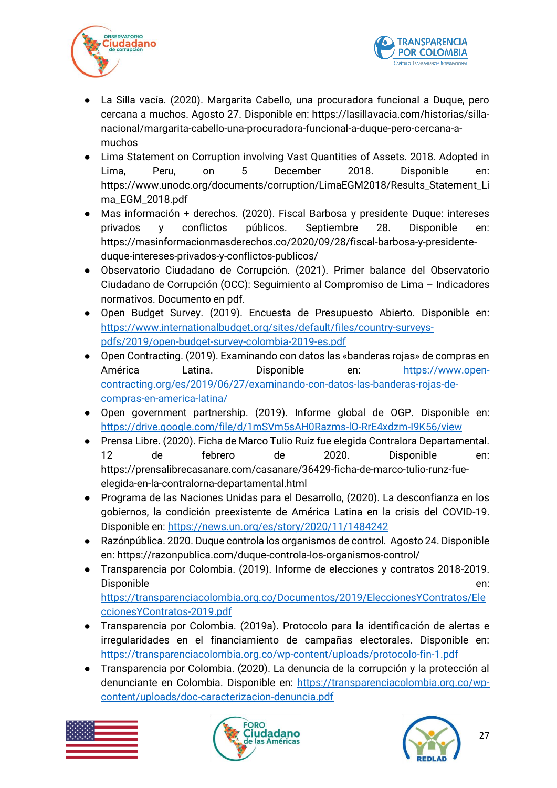



- La Silla vacía. (2020). Margarita Cabello, una procuradora funcional a Duque, pero cercana a muchos. Agosto 27. Disponible en: https://lasillavacia.com/historias/sillanacional/margarita-cabello-una-procuradora-funcional-a-duque-pero-cercana-amuchos
- Lima Statement on Corruption involving Vast Quantities of Assets. 2018. Adopted in Lima, Peru, on 5 December 2018. Disponible en: https://www.unodc.org/documents/corruption/LimaEGM2018/Results\_Statement\_Li ma\_EGM\_2018.pdf
- Mas información + derechos. (2020). Fiscal Barbosa y presidente Duque: intereses privados y conflictos públicos. Septiembre 28. Disponible en: https://masinformacionmasderechos.co/2020/09/28/fiscal-barbosa-y-presidenteduque-intereses-privados-y-conflictos-publicos/
- Observatorio Ciudadano de Corrupción. (2021). Primer balance del Observatorio Ciudadano de Corrupción (OCC): Seguimiento al Compromiso de Lima – Indicadores normativos. Documento en pdf.
- Open Budget Survey. (2019). Encuesta de Presupuesto Abierto. Disponible en: [https://www.internationalbudget.org/sites/default/files/country-surveys](https://www.internationalbudget.org/sites/default/files/country-surveys-pdfs/2019/open-budget-survey-colombia-2019-es.pdf)[pdfs/2019/open-budget-survey-colombia-2019-es.pdf](https://www.internationalbudget.org/sites/default/files/country-surveys-pdfs/2019/open-budget-survey-colombia-2019-es.pdf)
- Open Contracting. (2019). Examinando con datos las «banderas rojas» de compras en América Latina. Disponible en: [https://www.open](https://www.open-contracting.org/es/2019/06/27/examinando-con-datos-las-banderas-rojas-de-compras-en-america-latina/)[contracting.org/es/2019/06/27/examinando-con-datos-las-banderas-rojas-de](https://www.open-contracting.org/es/2019/06/27/examinando-con-datos-las-banderas-rojas-de-compras-en-america-latina/)[compras-en-america-latina/](https://www.open-contracting.org/es/2019/06/27/examinando-con-datos-las-banderas-rojas-de-compras-en-america-latina/)
- Open government partnership. (2019). Informe global de OGP. Disponible en: <https://drive.google.com/file/d/1mSVm5sAH0Razms-lO-RrE4xdzm-I9K56/view>
- Prensa Libre. (2020). Ficha de Marco Tulio Ruíz fue elegida Contralora Departamental. 12 de febrero de 2020. Disponible en: https://prensalibrecasanare.com/casanare/36429-ficha-de-marco-tulio-runz-fueelegida-en-la-contralorna-departamental.html
- Programa de las Naciones Unidas para el Desarrollo, (2020). La desconfianza en los gobiernos, la condición preexistente de América Latina en la crisis del COVID-19. Disponible en:<https://news.un.org/es/story/2020/11/1484242>
- Razónpública. 2020. Duque controla los organismos de control. Agosto 24. Disponible en: https://razonpublica.com/duque-controla-los-organismos-control/
- Transparencia por Colombia. (2019). Informe de elecciones y contratos 2018-2019. Disponible en: the entity of the entity of the entity of the entity of the entity of the entity of the entity of the entity of the entity of the entity of the entity of the entity of the entity of the entity of the entity

[https://transparenciacolombia.org.co/Documentos/2019/EleccionesYContratos/Ele](https://transparenciacolombia.org.co/Documentos/2019/EleccionesYContratos/EleccionesYContratos-2019.pdf) [ccionesYContratos-2019.pdf](https://transparenciacolombia.org.co/Documentos/2019/EleccionesYContratos/EleccionesYContratos-2019.pdf)

- Transparencia por Colombia. (2019a). Protocolo para la identificación de alertas e irregularidades en el financiamiento de campañas electorales. Disponible en: <https://transparenciacolombia.org.co/wp-content/uploads/protocolo-fin-1.pdf>
- Transparencia por Colombia. (2020). La denuncia de la corrupción y la protección al denunciante en Colombia. Disponible en: [https://transparenciacolombia.org.co/wp](https://transparenciacolombia.org.co/wp-content/uploads/doc-caracterizacion-denuncia.pdf)[content/uploads/doc-caracterizacion-denuncia.pdf](https://transparenciacolombia.org.co/wp-content/uploads/doc-caracterizacion-denuncia.pdf)





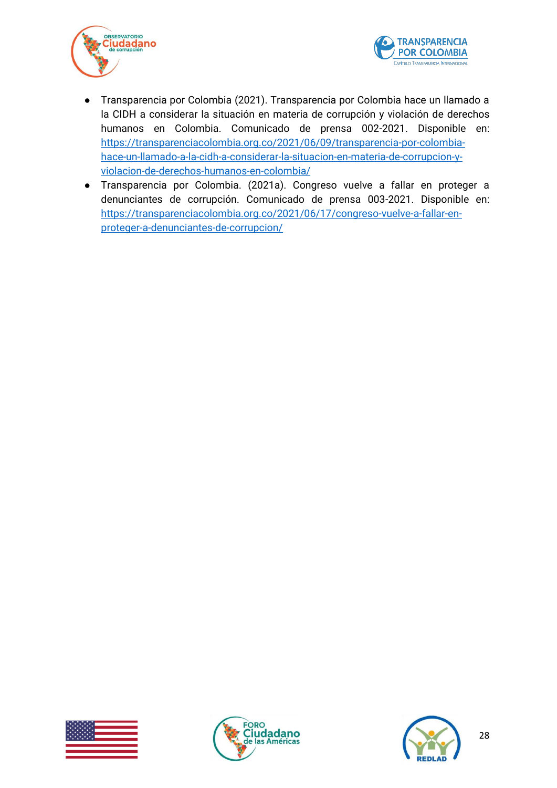



- Transparencia por Colombia (2021). Transparencia por Colombia hace un llamado a la CIDH a considerar la situación en materia de corrupción y violación de derechos humanos en Colombia. Comunicado de prensa 002-2021. Disponible en: [https://transparenciacolombia.org.co/2021/06/09/transparencia-por-colombia](https://transparenciacolombia.org.co/2021/06/09/transparencia-por-colombia-hace-un-llamado-a-la-cidh-a-considerar-la-situacion-en-materia-de-corrupcion-y-violacion-de-derechos-humanos-en-colombia/)[hace-un-llamado-a-la-cidh-a-considerar-la-situacion-en-materia-de-corrupcion-y](https://transparenciacolombia.org.co/2021/06/09/transparencia-por-colombia-hace-un-llamado-a-la-cidh-a-considerar-la-situacion-en-materia-de-corrupcion-y-violacion-de-derechos-humanos-en-colombia/)[violacion-de-derechos-humanos-en-colombia/](https://transparenciacolombia.org.co/2021/06/09/transparencia-por-colombia-hace-un-llamado-a-la-cidh-a-considerar-la-situacion-en-materia-de-corrupcion-y-violacion-de-derechos-humanos-en-colombia/)
- Transparencia por Colombia. (2021a). Congreso vuelve a fallar en proteger a denunciantes de corrupción. Comunicado de prensa 003-2021. Disponible en: [https://transparenciacolombia.org.co/2021/06/17/congreso-vuelve-a-fallar-en](https://transparenciacolombia.org.co/2021/06/17/congreso-vuelve-a-fallar-en-proteger-a-denunciantes-de-corrupcion/)[proteger-a-denunciantes-de-corrupcion/](https://transparenciacolombia.org.co/2021/06/17/congreso-vuelve-a-fallar-en-proteger-a-denunciantes-de-corrupcion/)





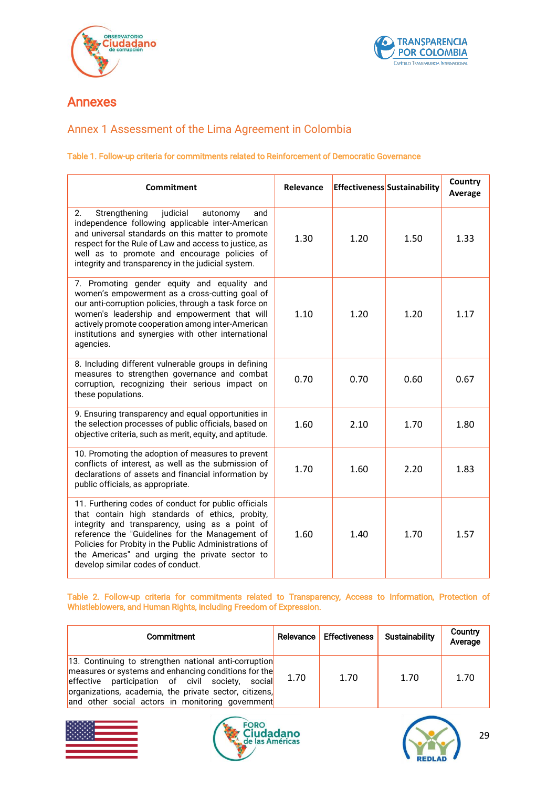



# Annexes

## <span id="page-28-0"></span>Annex 1 Assessment of the Lima Agreement in Colombia

#### Table 1. Follow-up criteria for commitments related to Reinforcement of Democratic Governance

| <b>Commitment</b>                                                                                                                                                                                                                                                                                                                                             | Relevance |      | <b>Effectiveness Sustainability</b> | Country<br>Average |
|---------------------------------------------------------------------------------------------------------------------------------------------------------------------------------------------------------------------------------------------------------------------------------------------------------------------------------------------------------------|-----------|------|-------------------------------------|--------------------|
| 2.<br>Strengthening<br>judicial<br>autonomy<br>and<br>independence following applicable inter-American<br>and universal standards on this matter to promote<br>respect for the Rule of Law and access to justice, as<br>well as to promote and encourage policies of<br>integrity and transparency in the judicial system.                                    | 1.30      | 1.20 | 1.50                                | 1.33               |
| 7. Promoting gender equity and equality and<br>women's empowerment as a cross-cutting goal of<br>our anti-corruption policies, through a task force on<br>women's leadership and empowerment that will<br>actively promote cooperation among inter-American<br>institutions and synergies with other international<br>agencies.                               | 1.10      | 1.20 | 1.20                                | 1.17               |
| 8. Including different vulnerable groups in defining<br>measures to strengthen governance and combat<br>corruption, recognizing their serious impact on<br>these populations.                                                                                                                                                                                 | 0.70      | 0.70 | 0.60                                | 0.67               |
| 9. Ensuring transparency and equal opportunities in<br>the selection processes of public officials, based on<br>objective criteria, such as merit, equity, and aptitude.                                                                                                                                                                                      | 1.60      | 2.10 | 1.70                                | 1.80               |
| 10. Promoting the adoption of measures to prevent<br>conflicts of interest, as well as the submission of<br>declarations of assets and financial information by<br>public officials, as appropriate.                                                                                                                                                          | 1.70      | 1.60 | 2.20                                | 1.83               |
| 11. Furthering codes of conduct for public officials<br>that contain high standards of ethics, probity,<br>integrity and transparency, using as a point of<br>reference the "Guidelines for the Management of<br>Policies for Probity in the Public Administrations of<br>the Americas" and urging the private sector to<br>develop similar codes of conduct. | 1.60      | 1.40 | 1.70                                | 1.57               |

#### Table 2. Follow-up criteria for commitments related to Transparency, Access to Information, Protection of Whistleblowers, and Human Rights, including Freedom of Expression.

| Commitment                                                                                                                                                                                                                                                                          |      | Relevance Effectiveness | Sustainability | Country<br>Average |
|-------------------------------------------------------------------------------------------------------------------------------------------------------------------------------------------------------------------------------------------------------------------------------------|------|-------------------------|----------------|--------------------|
| 13. Continuing to strengthen national anti-corruption<br>measures or systems and enhancing conditions for the<br>effective participation of civil society,<br>sociall<br>organizations, academia, the private sector, citizens,<br>and other social actors in monitoring government | 1.70 | 1.70                    | 1.70           | 1.70               |





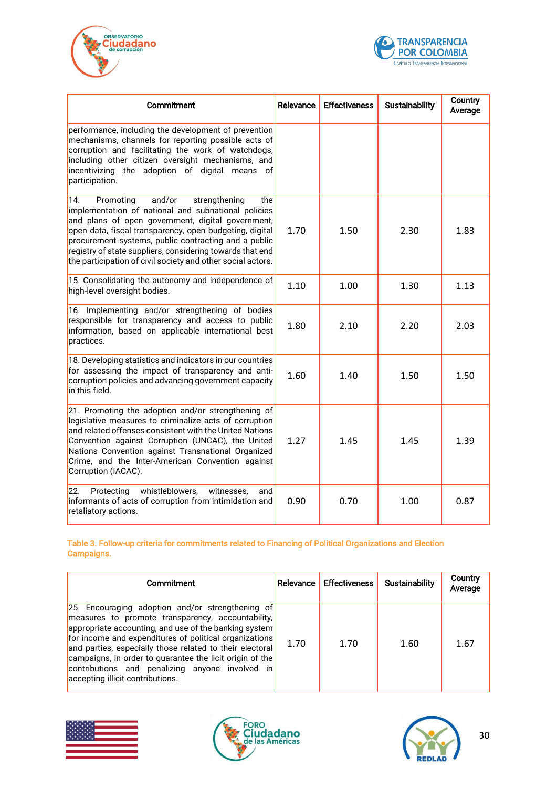



| Commitment                                                                                                                                                                                                                                                                                                                                                                                                    | Relevance | <b>Effectiveness</b> | <b>Sustainability</b> | Country<br>Average |
|---------------------------------------------------------------------------------------------------------------------------------------------------------------------------------------------------------------------------------------------------------------------------------------------------------------------------------------------------------------------------------------------------------------|-----------|----------------------|-----------------------|--------------------|
| performance, including the development of prevention<br>mechanisms, channels for reporting possible acts of<br>corruption and facilitating the work of watchdogs,<br>including other citizen oversight mechanisms, and<br>incentivizing the adoption of digital means of<br>participation.                                                                                                                    |           |                      |                       |                    |
| 14.<br>Promoting<br>and/or<br>strengthening<br>the<br>implementation of national and subnational policies<br>and plans of open government, digital government,<br>open data, fiscal transparency, open budgeting, digital<br>procurement systems, public contracting and a public<br>registry of state suppliers, considering towards that end<br>the participation of civil society and other social actors. | 1.70      | 1.50                 | 2.30                  | 1.83               |
| 15. Consolidating the autonomy and independence of<br>high-level oversight bodies.                                                                                                                                                                                                                                                                                                                            | 1.10      | 1.00                 | 1.30                  | 1.13               |
| 16. Implementing and/or strengthening of bodies<br>responsible for transparency and access to public<br>information, based on applicable international best<br>practices.                                                                                                                                                                                                                                     | 1.80      | 2.10                 | 2.20                  | 2.03               |
| 18. Developing statistics and indicators in our countries<br>for assessing the impact of transparency and anti-<br>corruption policies and advancing government capacity<br>in this field.                                                                                                                                                                                                                    | 1.60      | 1.40                 | 1.50                  | 1.50               |
| 21. Promoting the adoption and/or strengthening of<br>legislative measures to criminalize acts of corruption<br>and related offenses consistent with the United Nations<br>Convention against Corruption (UNCAC), the United<br>Nations Convention against Transnational Organized<br>Crime, and the Inter-American Convention against<br>Corruption (IACAC).                                                 | 1.27      | 1.45                 | 1.45                  | 1.39               |
| whistleblowers,<br>22.<br>Protecting<br>witnesses.<br>andl<br>informants of acts of corruption from intimidation and<br>retaliatory actions.                                                                                                                                                                                                                                                                  | 0.90      | 0.70                 | 1.00                  | 0.87               |

#### Table 3. Follow-up criteria for commitments related to Financing of Political Organizations and Election Campaigns.

| Commitment                                                                                                                                                                                                                                                                                                                                                                                                                              |      | Relevance Effectiveness | <b>Sustainability</b> | Country<br>Average |
|-----------------------------------------------------------------------------------------------------------------------------------------------------------------------------------------------------------------------------------------------------------------------------------------------------------------------------------------------------------------------------------------------------------------------------------------|------|-------------------------|-----------------------|--------------------|
| 25. Encouraging adoption and/or strengthening of<br>measures to promote transparency, accountability,<br>appropriate accounting, and use of the banking system<br>for income and expenditures of political organizations<br>and parties, especially those related to their electoral<br>campaigns, in order to guarantee the licit origin of the<br>contributions and penalizing anyone involved in<br>accepting illicit contributions. | 1.70 | 1.70                    | 1.60                  | 1.67               |